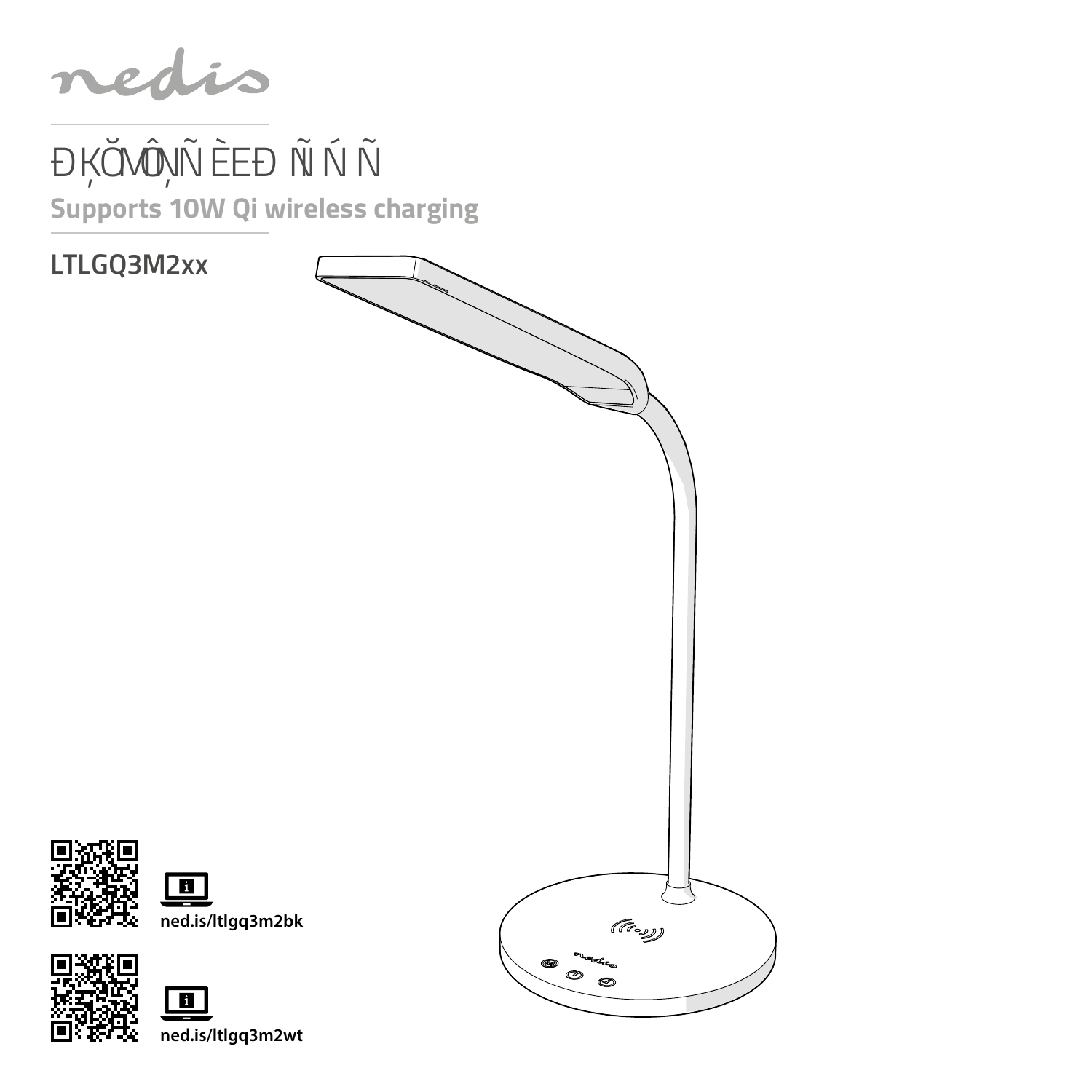nedis

# ĐỰ Ở VÔN LA ĐẠ CHÔ NH **Supports 10W Qi wireless charging**

**LTLGQ3M2xx**





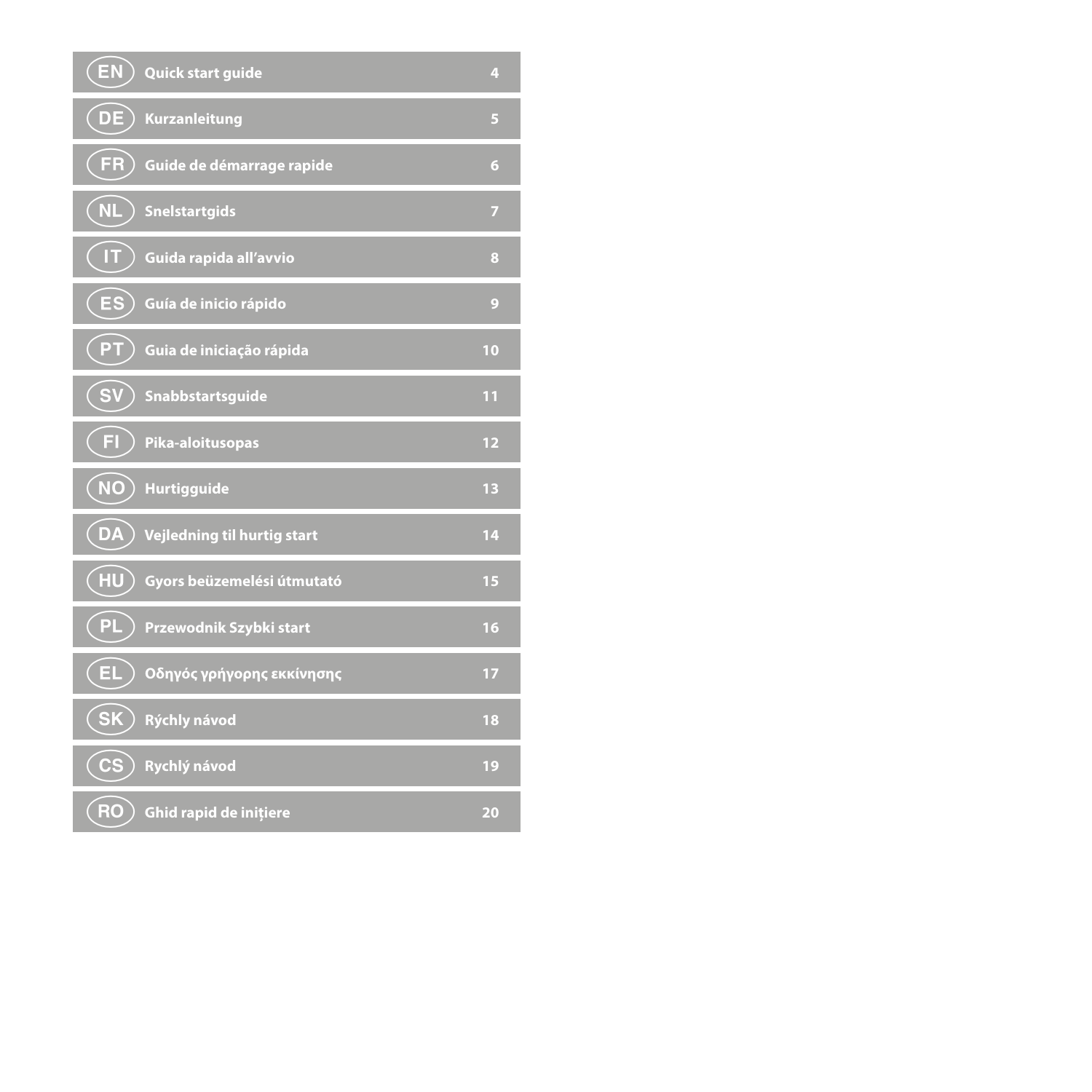| (EN)<br>Quick start guide              | 4  |
|----------------------------------------|----|
| $($ DE $)$<br><b>Kurzanleitung</b>     | Б  |
| FR<br>Guide de démarrage rapide        | 6  |
| $($ NL<br><b>Snelstartgids</b>         | 7  |
| IT.<br>Guida rapida all'avvio          | 8  |
| (ES<br>Guía de inicio rápido           | 9  |
| (PT<br>Guia de iniciação rápida        | 10 |
| <b>SV</b><br>Snabbstartsguide          | 11 |
| FL.<br>Pika-aloitusopas                | 12 |
| $\overline{\mathsf{N}}$<br>Hurtigguide | 13 |
| (DA<br>Vejledning til hurtig start     | 14 |
| (HU)<br>Gyors beüzemelési útmutató     | 15 |
| PL.<br>Przewodnik Szybki start         | 16 |
| (EL)<br>Οδηγός γρήγορης εκκίνησης      | 17 |
| (SK)<br>Rýchly návod                   | 18 |
| (CS<br>Rychlý návod                    | 19 |
| (RO<br>Ghid rapid de inițiere          | 20 |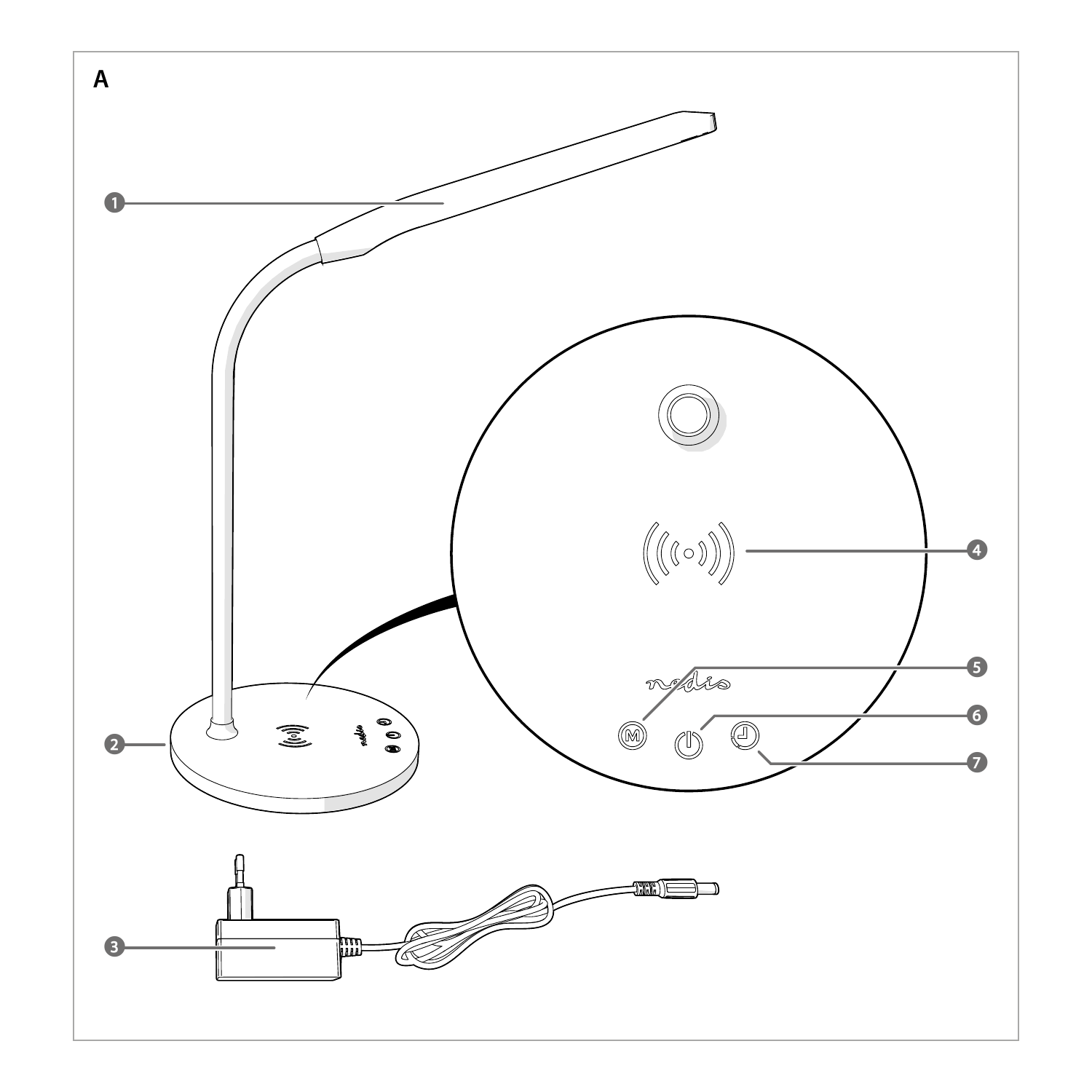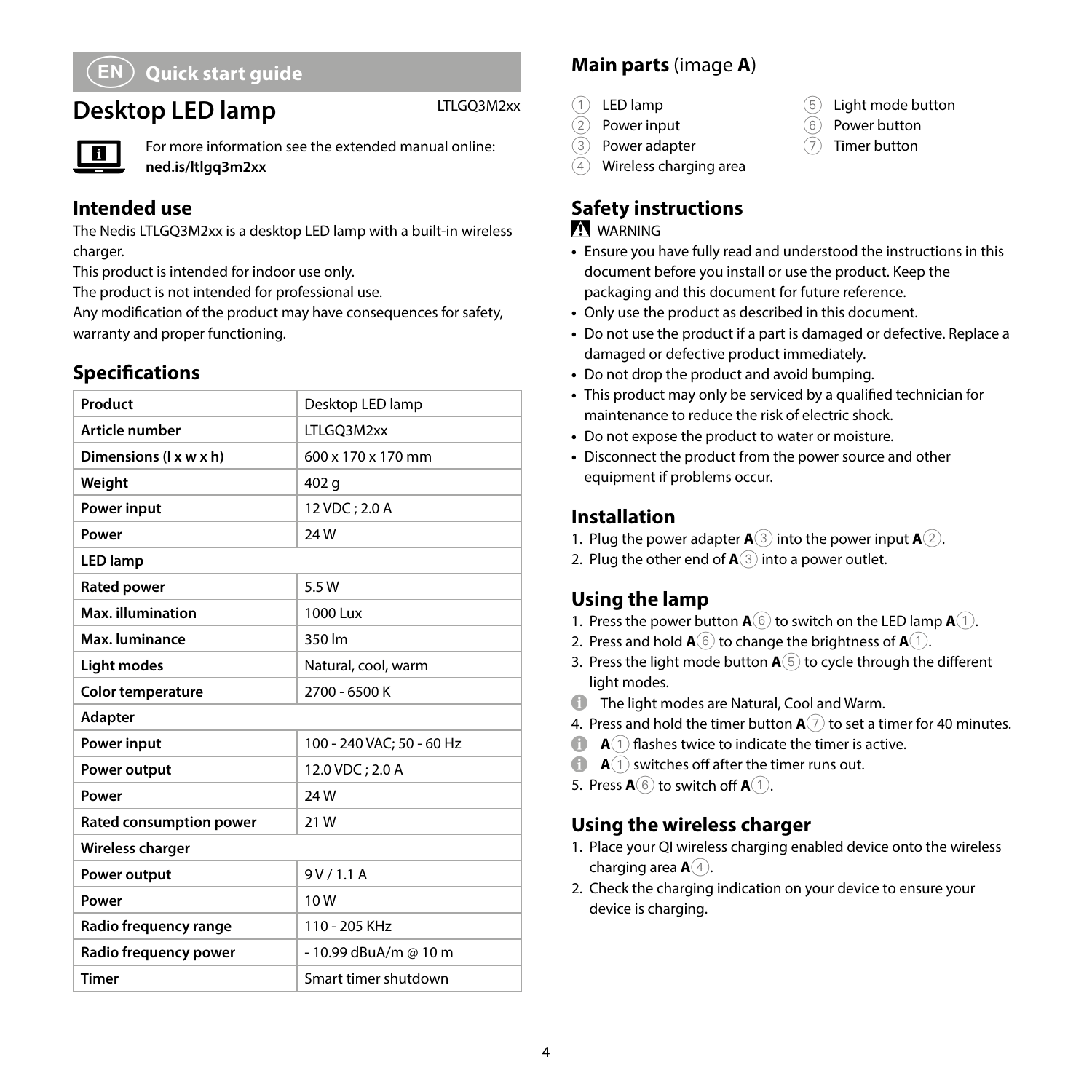# a **Quick start guide**

# **Desktop LED lamp** LTLGQ3M2xx



For more information see the extended manual online: **ned.is/ltlgq3m2xx**

#### **Intended use**

The Nedis LTLGQ3M2xx is a desktop LED lamp with a built-in wireless charger.

This product is intended for indoor use only.

The product is not intended for professional use.

Any modification of the product may have consequences for safety, warranty and proper functioning.

# **Specifications**

| Product                  | Desktop LED lamp          |  |
|--------------------------|---------------------------|--|
| Article number           | LTLGO3M2xx                |  |
| Dimensions (1 x w x h)   | 600 x 170 x 170 mm        |  |
| Weight                   | 402 g                     |  |
| Power input              | 12 VDC: 2.0 A             |  |
| Power                    | <b>24W</b>                |  |
| <b>LED</b> lamp          |                           |  |
| <b>Rated power</b>       | 5.5 W                     |  |
| Max. illumination        | 1000 Lux                  |  |
| Max. luminance           | 350 lm                    |  |
| <b>Light modes</b>       | Natural, cool, warm       |  |
| <b>Color temperature</b> | 2700 - 6500 K             |  |
| Adapter                  |                           |  |
| Power input              | 100 - 240 VAC: 50 - 60 Hz |  |
| Power output             | 12.0 VDC: 2.0 A           |  |
| Power                    | 24W                       |  |
| Rated consumption power  | 21W                       |  |
| <b>Wireless charger</b>  |                           |  |
| Power output             | 9V/1.1A                   |  |
| Power                    | 10W                       |  |
| Radio frequency range    | 110 - 205 KHz             |  |
| Radio frequency power    | - 10.99 dBuA/m @ 10 m     |  |
| <b>Timer</b>             | Smart timer shutdown      |  |

# **Main parts** (image **A**)

- $(1)$  LED lamp<br> $(2)$  Power inc
	- Power input
- 3 Power adapter
- 4 Wireless charging area

# **Safety instructions**

#### **M** WARNING

- **•** Ensure you have fully read and understood the instructions in this document before you install or use the product. Keep the packaging and this document for future reference.
- **•** Only use the product as described in this document.
- **•** Do not use the product if a part is damaged or defective. Replace a damaged or defective product immediately.
- **•** Do not drop the product and avoid bumping.
- **•** This product may only be serviced by a qualified technician for maintenance to reduce the risk of electric shock.
- **•** Do not expose the product to water or moisture.
- **•** Disconnect the product from the power source and other equipment if problems occur.

# **Installation**

- 1. Plug the power adapter **A**3 into the power input **A**2.
- 2. Plug the other end of **A**3 into a power outlet.

# **Using the lamp**

- 1. Press the power button  $\mathbf{A}(\widehat{\mathbf{6}})$  to switch on the LED lamp  $\mathbf{A}(\widehat{\mathbf{1}})$ .
- 2. Press and hold  $\mathbf{A}^{(6)}$  to change the brightness of  $\mathbf{A}^{(1)}$ .
- 3. Press the light mode button **A**5 to cycle through the different light modes.
- **1** The light modes are Natural, Cool and Warm.
- 4. Press and hold the timer button  $\mathbf{A}(\widehat{?})$  to set a timer for 40 minutes.
- **A**  $\cap$  flashes twice to indicate the timer is active.
- $\bullet$  **A**(1) switches off after the timer runs out.
- 5. Press  $\mathbf{A}(\widehat{\mathbf{6}})$  to switch off  $\mathbf{A}(\widehat{\mathbf{1}})$ .

#### **Using the wireless charger**

- 1. Place your QI wireless charging enabled device onto the wireless charging area  $\mathbf{A}(4)$ .
- 2. Check the charging indication on your device to ensure your device is charging.
- 5 Light mode button
- 6 Power button
- 7 Timer button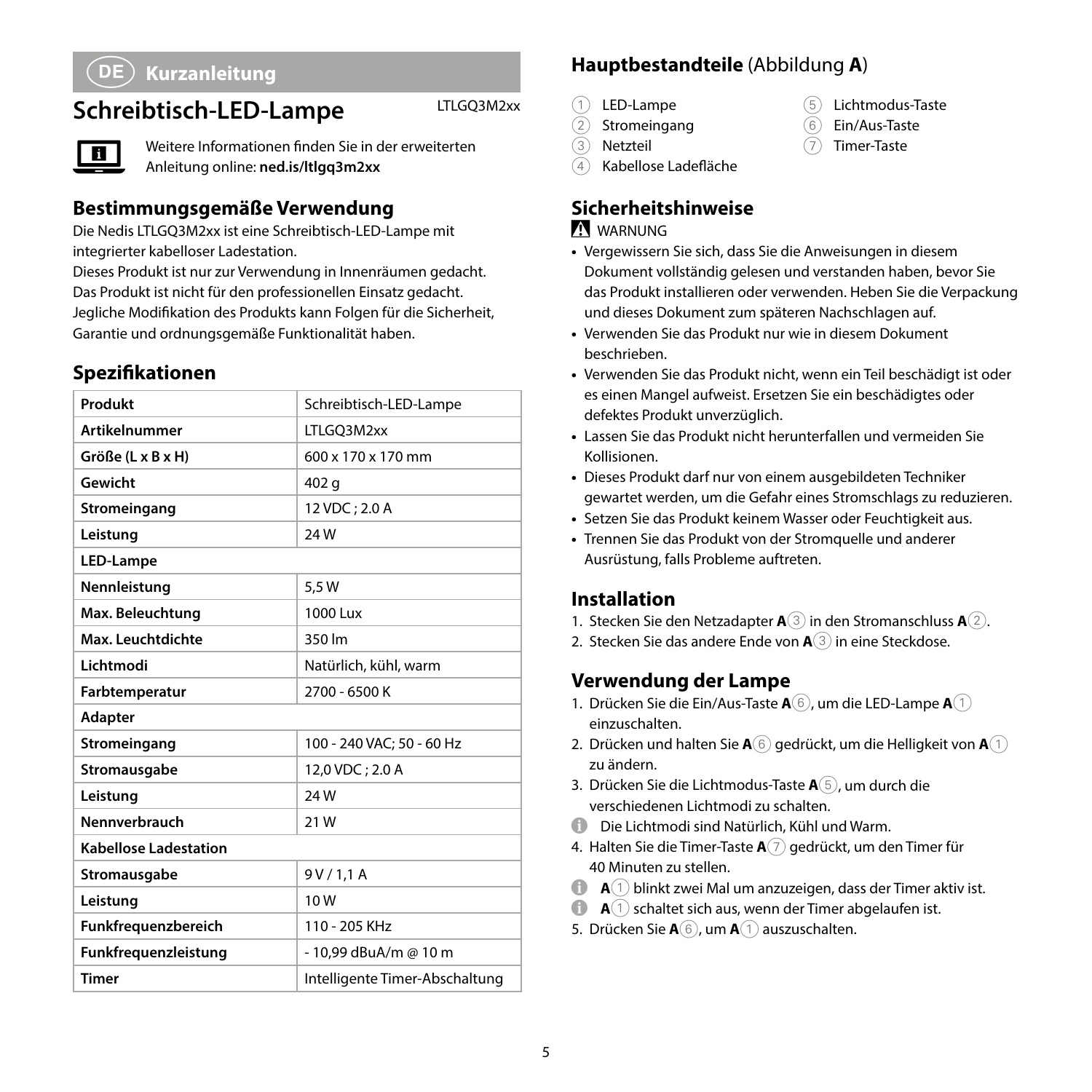# c **Kurzanleitung**

# **Schreibtisch-LED-Lampe** LTLGQ3M2xx



Weitere Informationen finden Sie in der erweiterten Anleitung online: **ned.is/ltlgq3m2xx**

#### **Bestimmungsgemäße Verwendung**

Die Nedis LTLGQ3M2xx ist eine Schreibtisch-LED-Lampe mit integrierter kabelloser Ladestation.

Dieses Produkt ist nur zur Verwendung in Innenräumen gedacht. Das Produkt ist nicht für den professionellen Einsatz gedacht. Jegliche Modifikation des Produkts kann Folgen für die Sicherheit, Garantie und ordnungsgemäße Funktionalität haben.

#### **Spezifikationen**

| Produkt                      | Schreibtisch-LED-Lampe         |  |
|------------------------------|--------------------------------|--|
| <b>Artikelnummer</b>         | LTLGO3M2xx                     |  |
| Größe (L x B x H)            | 600 x 170 x 170 mm             |  |
| Gewicht                      | 402 g                          |  |
| Stromeingang                 | 12 VDC: 2.0 A                  |  |
| Leistung                     | 24W                            |  |
| LED-Lampe                    |                                |  |
| Nennleistung                 | 5.5 W                          |  |
| Max. Beleuchtung             | 1000 Lux                       |  |
| Max. Leuchtdichte            | 350 lm                         |  |
| Lichtmodi                    | Natürlich, kühl, warm          |  |
| Farbtemperatur               | 2700 - 6500 K                  |  |
| Adapter                      |                                |  |
| Stromeingang                 | 100 - 240 VAC: 50 - 60 Hz      |  |
| Stromausgabe                 | 12.0 VDC: 2.0 A                |  |
| Leistung                     | 24W                            |  |
| Nennverbrauch                | 21W                            |  |
| <b>Kabellose Ladestation</b> |                                |  |
| Stromausgabe                 | 9V/1,1A                        |  |
| Leistung                     | 10W                            |  |
| Funkfrequenzbereich          | 110 - 205 KHz                  |  |
| Funkfrequenzleistung         | - 10.99 dBuA/m @ 10 m          |  |
| <b>Timer</b>                 | Intelligente Timer-Abschaltung |  |

#### **Hauptbestandteile** (Abbildung **A**)

- 1 LED-Lampe
- 2 Stromeingang
- 3 Netzteil
- 4 Kabellose Ladefläche

# **Sicherheitshinweise**

#### **WARNUNG**

**•** Vergewissern Sie sich, dass Sie die Anweisungen in diesem Dokument vollständig gelesen und verstanden haben, bevor Sie das Produkt installieren oder verwenden. Heben Sie die Verpackung und dieses Dokument zum späteren Nachschlagen auf.

5 Lichtmodus-Taste 6 Ein/Aus-Taste 7 Timer-Taste

- **•** Verwenden Sie das Produkt nur wie in diesem Dokument beschrieben.
- **•** Verwenden Sie das Produkt nicht, wenn ein Teil beschädigt ist oder es einen Mangel aufweist. Ersetzen Sie ein beschädigtes oder defektes Produkt unverzüglich.
- **•** Lassen Sie das Produkt nicht herunterfallen und vermeiden Sie Kollisionen.
- **•** Dieses Produkt darf nur von einem ausgebildeten Techniker gewartet werden, um die Gefahr eines Stromschlags zu reduzieren.
- **•** Setzen Sie das Produkt keinem Wasser oder Feuchtigkeit aus.
- **•** Trennen Sie das Produkt von der Stromquelle und anderer Ausrüstung, falls Probleme auftreten.

#### **Installation**

- 1. Stecken Sie den Netzadapter **A**3 in den Stromanschluss **A**2.
- 2. Stecken Sie das andere Ende von **A**3 in eine Steckdose.

#### **Verwendung der Lampe**

- 1. Drücken Sie die Ein/Aus-Taste **A**6, um die LED-Lampe **A**1 einzuschalten.
- 2. Drücken und halten Sie **A**6 gedrückt, um die Helligkeit von **A**1 zu ändern.
- 3. Drücken Sie die Lichtmodus-Taste **A**5, um durch die verschiedenen Lichtmodi zu schalten.
- 4 Die Lichtmodi sind Natürlich, Kühl und Warm.
- 4. Halten Sie die Timer-Taste **A**7 gedrückt, um den Timer für 40 Minuten zu stellen.
- 4 **<sup>A</sup>**1 blinkt zwei Mal um anzuzeigen, dass der Timer aktiv ist.
- **A**(1) schaltet sich aus, wenn der Timer abgelaufen ist.
- 5. Drücken Sie **A**6, um **A**1 auszuschalten.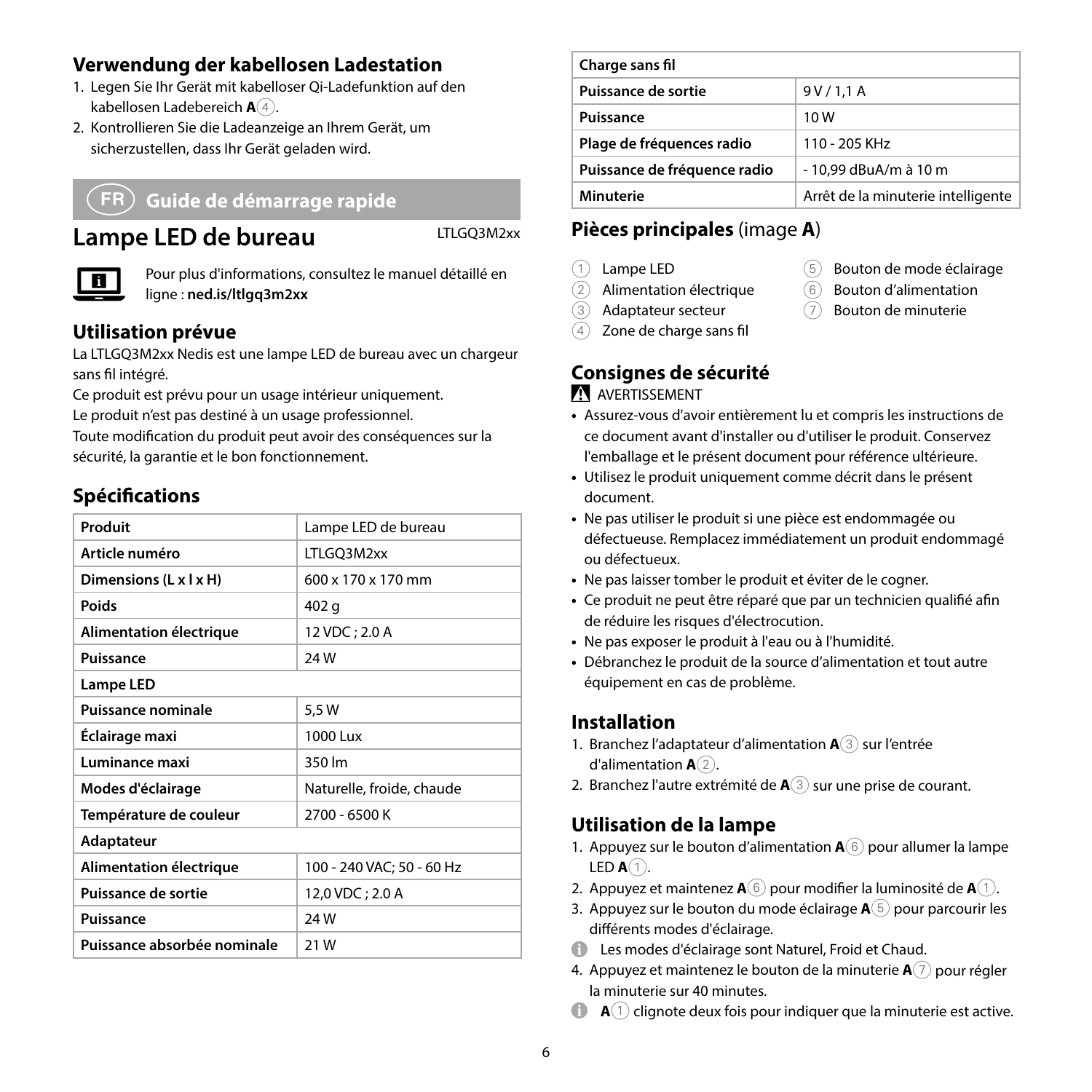#### **Verwendung der kabellosen Ladestation**

- 1. Legen Sie Ihr Gerät mit kabelloser Qi-Ladefunktion auf den kabellosen Ladebereich **A** $\widehat{4}$ .
- 2. Kontrollieren Sie die Ladeanzeige an Ihrem Gerät, um sicherzustellen, dass Ihr Gerät geladen wird.

#### b **Guide de démarrage rapide**

# Lampe LED de bureau LTLGQ3M2xx



Pour plus d'informations, consultez le manuel détaillé en ligne : **ned.is/ltlgq3m2xx**

#### **Utilisation prévue**

La LTLGQ3M2xx Nedis est une lampe LED de bureau avec un chargeur sans fil intégré.

Ce produit est prévu pour un usage intérieur uniquement. Le produit n'est pas destiné à un usage professionnel. Toute modification du produit peut avoir des conséquences sur la sécurité, la garantie et le bon fonctionnement.

#### **Spécifications**

| Produit                     | Lampe LED de bureau            |  |
|-----------------------------|--------------------------------|--|
| Article numéro              | LTLGQ3M2xx                     |  |
| Dimensions (L x I x H)      | $600 \times 170 \times 170$ mm |  |
| Poids                       | 402 g                          |  |
| Alimentation électrique     | 12 VDC; 2.0 A                  |  |
| Puissance                   | 24W                            |  |
| Lampe LED                   |                                |  |
| Puissance nominale          | 5,5 W                          |  |
| Éclairage maxi              | 1000 Lux                       |  |
| Luminance maxi              | 350 lm                         |  |
| Modes d'éclairage           | Naturelle, froide, chaude      |  |
| Température de couleur      | 2700 - 6500 K                  |  |
| Adaptateur                  |                                |  |
| Alimentation électrique     | 100 - 240 VAC; 50 - 60 Hz      |  |
| Puissance de sortie         | 12,0 VDC; 2.0 A                |  |
| Puissance                   | 24W                            |  |
| Puissance absorbée nominale | 21 W                           |  |

| Charge sans fil              |                                    |
|------------------------------|------------------------------------|
| Puissance de sortie          | 9V/1.1A                            |
| Puissance                    | 10W                                |
| Plage de fréquences radio    | 110 - 205 KHz                      |
| Puissance de fréquence radio | - 10,99 dBuA/m à 10 m              |
| Minuterie                    | Arrêt de la minuterie intelligente |

5 Bouton de mode éclairage 6 Bouton d'alimentation 7 Bouton de minuterie

# **Pièces principales** (image **A**)

- 1 Lampe LED
- 2 Alimentation électrique
- 3 Adaptateur secteur
- $(4)$  Zone de charge sans fil

# **Consignes de sécurité**

#### **N** AVERTISSEMENT

- **•** Assurez-vous d'avoir entièrement lu et compris les instructions de ce document avant d'installer ou d'utiliser le produit. Conservez l'emballage et le présent document pour référence ultérieure.
- **•** Utilisez le produit uniquement comme décrit dans le présent document.
- **•** Ne pas utiliser le produit si une pièce est endommagée ou défectueuse. Remplacez immédiatement un produit endommagé ou défectueux.
- **•** Ne pas laisser tomber le produit et éviter de le cogner.
- **•** Ce produit ne peut être réparé que par un technicien qualifié afin de réduire les risques d'électrocution.
- **•** Ne pas exposer le produit à l'eau ou à l'humidité.
- **•** Débranchez le produit de la source d'alimentation et tout autre équipement en cas de problème.

#### **Installation**

- 1. Branchez l'adaptateur d'alimentation **A**3 sur l'entrée d'alimentation  $A(2)$ .
- 2. Branchez l'autre extrémité de **A**3 sur une prise de courant.

#### **Utilisation de la lampe**

- 1. Appuyez sur le bouton d'alimentation **A**6 pour allumer la lampe LED  $A(1)$ .
- 2. Appuyez et maintenez **A**6 pour modifier la luminosité de **A**1.
- 3. Appuyez sur le bouton du mode éclairage **A**5 pour parcourir les différents modes d'éclairage.
- $\bullet$  Les modes d'éclairage sont Naturel, Froid et Chaud.
- 4. Appuyez et maintenez le bouton de la minuterie **A**7 pour régler la minuterie sur 40 minutes.
- $\bullet$  **A**(1) clignote deux fois pour indiquer que la minuterie est active.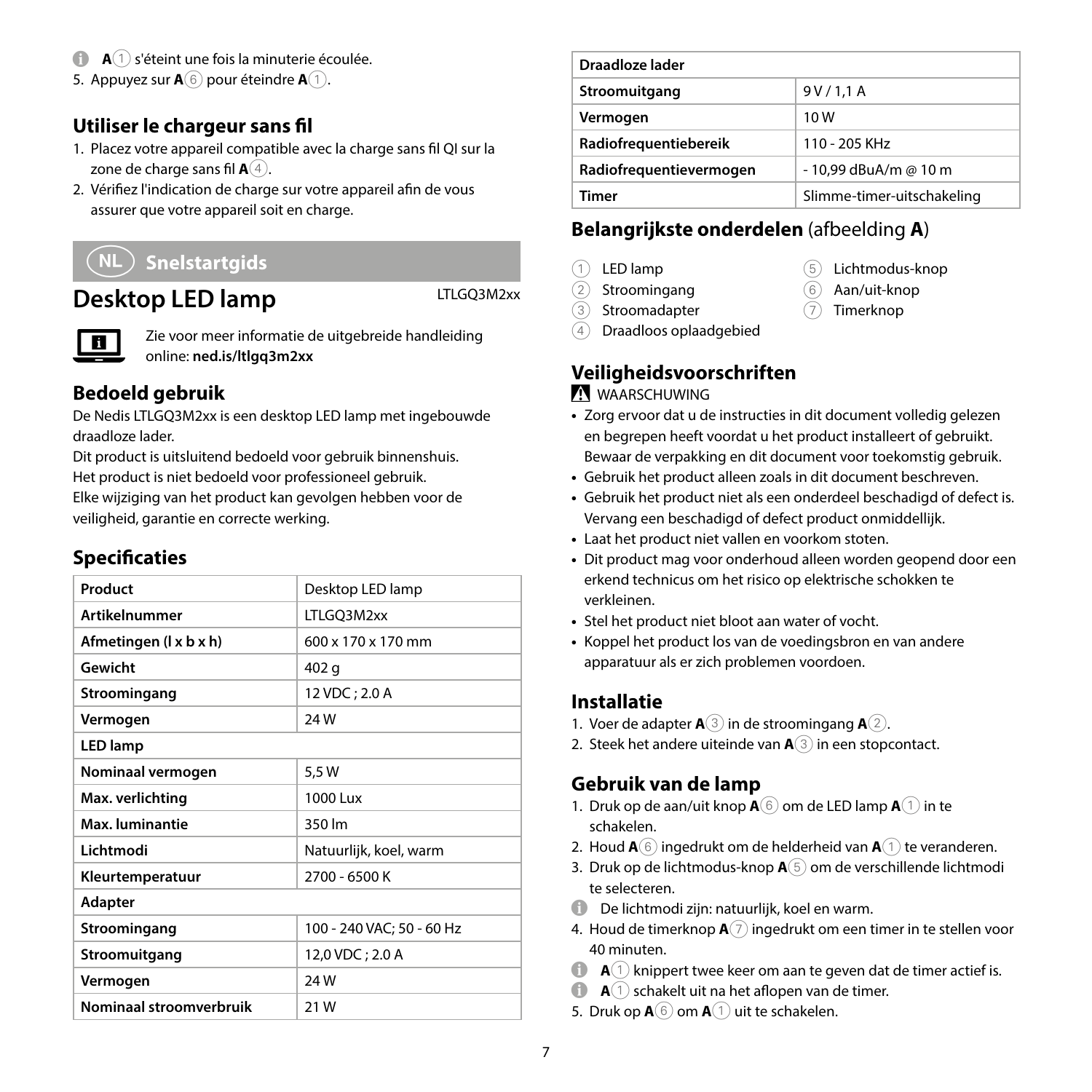- **A** $\cap$  s'éteint une fois la minuterie écoulée.
- 5. Appuyez sur  $\mathbf{A}(6)$  pour éteindre  $\mathbf{A}(1)$ .

#### **Utiliser le chargeur sans fil**

- 1. Placez votre appareil compatible avec la charge sans fil QI sur la zone de charge sans fil  $\mathbf{A}(4)$ .
- 2. Vérifiez l'indication de charge sur votre appareil afin de vous assurer que votre appareil soit en charge.

# d **Snelstartgids**

# **Desktop LED lamp** LTLGQ3M2xx

Zie voor meer informatie de uitgebreide handleiding online: **ned.is/ltlgq3m2xx**

#### **Bedoeld gebruik**

De Nedis LTLGQ3M2xx is een desktop LED lamp met ingebouwde draadloze lader.

Dit product is uitsluitend bedoeld voor gebruik binnenshuis. Het product is niet bedoeld voor professioneel gebruik.

Elke wijziging van het product kan gevolgen hebben voor de veiligheid, garantie en correcte werking.

#### **Specificaties**

| Product                 | Desktop LED lamp          |  |
|-------------------------|---------------------------|--|
| <b>Artikelnummer</b>    | LTLGO3M2xx                |  |
| Afmetingen (1 x b x h)  | 600 x 170 x 170 mm        |  |
| Gewicht                 | 402 g                     |  |
| Stroomingang            | 12 VDC; 2.0 A             |  |
| Vermogen                | 24W                       |  |
| <b>LED lamp</b>         |                           |  |
| Nominaal vermogen       | 5,5W                      |  |
| Max. verlichting        | 1000 Lux                  |  |
| Max, luminantie         | 350 lm                    |  |
| I ichtmodi              | Natuurlijk, koel, warm    |  |
| Kleurtemperatuur        | 2700 - 6500 K             |  |
| Adapter                 |                           |  |
| Stroomingang            | 100 - 240 VAC; 50 - 60 Hz |  |
| Stroomuitgang           | 12,0 VDC; 2.0 A           |  |
| Vermogen                | <b>24W</b>                |  |
| Nominaal stroomverbruik | 21W                       |  |
|                         |                           |  |

| Draadloze lader         |                            |
|-------------------------|----------------------------|
| Stroomuitgang           | 9V/1.1A                    |
| Vermogen                | 10 W                       |
| Radiofrequentiebereik   | 110 - 205 KHz              |
| Radiofrequentievermogen | - 10.99 dBuA/m @ 10 m      |
| Timer                   | Slimme-timer-uitschakeling |

#### **Belangrijkste onderdelen** (afbeelding **A**)

- 1 LED lamp
- 2 Stroomingang
- 3 Stroomadapter
- 5 Lichtmodus-knop 6 Aan/uit-knop
- 7 Timerknop
- 4 Draadloos oplaadgebied

# **Veiligheidsvoorschriften**

#### WAARSCHUWING

- **•** Zorg ervoor dat u de instructies in dit document volledig gelezen en begrepen heeft voordat u het product installeert of gebruikt. Bewaar de verpakking en dit document voor toekomstig gebruik.
- **•** Gebruik het product alleen zoals in dit document beschreven.
- **•** Gebruik het product niet als een onderdeel beschadigd of defect is. Vervang een beschadigd of defect product onmiddellijk.
- **•** Laat het product niet vallen en voorkom stoten.
- **•** Dit product mag voor onderhoud alleen worden geopend door een erkend technicus om het risico op elektrische schokken te verkleinen.
- **•** Stel het product niet bloot aan water of vocht.
- **•** Koppel het product los van de voedingsbron en van andere apparatuur als er zich problemen voordoen.

#### **Installatie**

- 1. Voer de adapter **A**3 in de stroomingang **A**2.
- 2. Steek het andere uiteinde van **A**3 in een stopcontact.

#### **Gebruik van de lamp**

- 1. Druk op de aan/uit knop  $\mathbf{A}(\widehat{\mathbf{6}})$  om de LED lamp  $\mathbf{A}(\widehat{\mathbf{1}})$  in te schakelen.
- 2. Houd  $\mathbf{A}(6)$  ingedrukt om de helderheid van  $\mathbf{A}(1)$  te veranderen.
- 3. Druk op de lichtmodus-knop **A**5 om de verschillende lichtmodi te selecteren.
- 4 De lichtmodi zijn: natuurlijk, koel en warm.
- 4. Houd de timerknop **A**7 ingedrukt om een timer in te stellen voor 40 minuten.
- $\bullet$  **A**(1) knippert twee keer om aan te geven dat de timer actief is.
- **A** $(1)$  schakelt uit na het aflopen van de timer.
- 5. Druk op  $A(6)$  om  $A(1)$  uit te schakelen.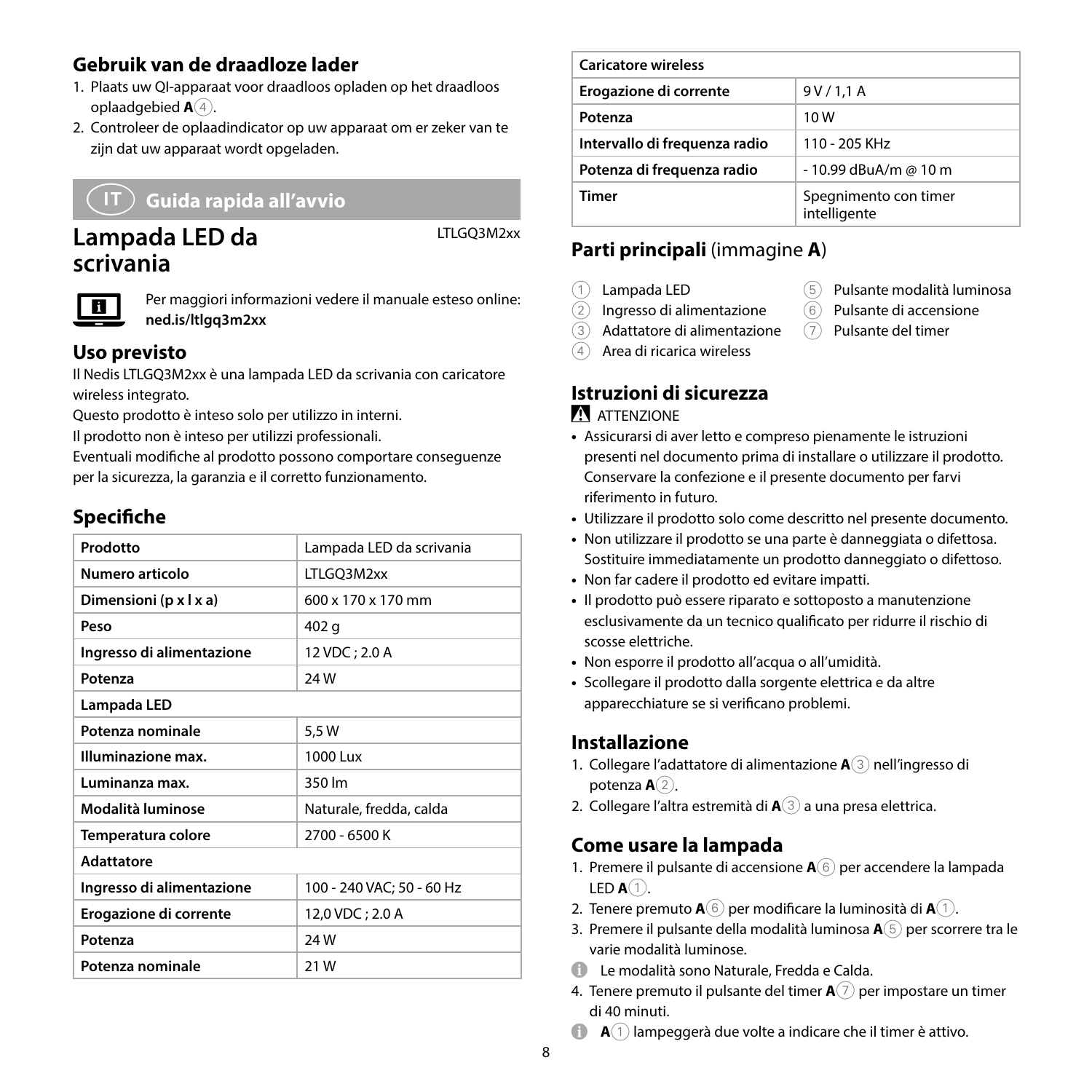#### **Gebruik van de draadloze lader**

- 1. Plaats uw QI-apparaat voor draadloos opladen op het draadloos oplaadgebied **A**<sup>4</sup>.
- 2. Controleer de oplaadindicator op uw apparaat om er zeker van te zijn dat uw apparaat wordt opgeladen.

# j **Guida rapida all'avvio**

# **Lampada LED da scrivania**

LTLGQ3M2xx



Per maggiori informazioni vedere il manuale esteso online: **ned.is/ltlgq3m2xx**

#### **Uso previsto**

Il Nedis LTLGQ3M2xx è una lampada LED da scrivania con caricatore wireless integrato.

Questo prodotto è inteso solo per utilizzo in interni.

Il prodotto non è inteso per utilizzi professionali.

Eventuali modifiche al prodotto possono comportare conseguenze per la sicurezza, la garanzia e il corretto funzionamento.

# **Specifiche**

| Prodotto                  | Lampada LED da scrivania       |
|---------------------------|--------------------------------|
| Numero articolo           | LTLGQ3M2xx                     |
| Dimensioni (p x l x a)    | $600 \times 170 \times 170$ mm |
| Peso                      | 402 g                          |
| Ingresso di alimentazione | 12 VDC; 2.0 A                  |
| Potenza                   | 24W                            |
| Lampada LED               |                                |
| Potenza nominale          | 5,5 W                          |
| Illuminazione max.        | 1000 Lux                       |
| Luminanza max.            | 350 lm                         |
| Modalità luminose         | Naturale, fredda, calda        |
| Temperatura colore        | 2700 - 6500 K                  |
| <b>Adattatore</b>         |                                |
| Ingresso di alimentazione | 100 - 240 VAC; 50 - 60 Hz      |
| Erogazione di corrente    | 12,0 VDC; 2.0 A                |
| Potenza                   | 24W                            |
| Potenza nominale          | 21W                            |
|                           |                                |

| <b>Caricatore wireless</b>    |                                       |
|-------------------------------|---------------------------------------|
| Erogazione di corrente        | 9V/1.1A                               |
| Potenza                       | 10W                                   |
| Intervallo di frequenza radio | 110 - 205 KHz                         |
| Potenza di frequenza radio    | - 10.99 dBuA/m @ 10 m                 |
| Timer                         | Spegnimento con timer<br>intelligente |

5 Pulsante modalità luminosa 6 Pulsante di accensione 7 Pulsante del timer

# **Parti principali** (immagine **A**)

- 1 Lampada LED
- 2 Ingresso di alimentazione
- 3 Adattatore di alimentazione
- 4 Area di ricarica wireless

#### **Istruzioni di sicurezza ATTENZIONE**

- **•** Assicurarsi di aver letto e compreso pienamente le istruzioni presenti nel documento prima di installare o utilizzare il prodotto. Conservare la confezione e il presente documento per farvi riferimento in futuro.
- **•** Utilizzare il prodotto solo come descritto nel presente documento.
- **•** Non utilizzare il prodotto se una parte è danneggiata o difettosa. Sostituire immediatamente un prodotto danneggiato o difettoso.
- **•** Non far cadere il prodotto ed evitare impatti.
- **•** Il prodotto può essere riparato e sottoposto a manutenzione esclusivamente da un tecnico qualificato per ridurre il rischio di scosse elettriche.
- **•** Non esporre il prodotto all'acqua o all'umidità.
- **•** Scollegare il prodotto dalla sorgente elettrica e da altre apparecchiature se si verificano problemi.

#### **Installazione**

- 1. Collegare l'adattatore di alimentazione **A**3 nell'ingresso di potenza  $A(2)$ .
- 2. Collegare l'altra estremità di **A**3 a una presa elettrica.

#### **Come usare la lampada**

- 1. Premere il pulsante di accensione **A**6 per accendere la lampada LED **A**1.
- 2. Tenere premuto  $\mathbf{A}(\widehat{\mathbf{6}})$  per modificare la luminosità di  $\mathbf{A}(\widehat{\mathbf{1}})$ .
- 3. Premere il pulsante della modalità luminosa **A**5 per scorrere tra le varie modalità luminose.
- $\bigoplus$  Le modalità sono Naturale, Fredda e Calda.
- 4. Tenere premuto il pulsante del timer **A**7 per impostare un timer di 40 minuti.
- **A** $(1)$  lampeggerà due volte a indicare che il timer è attivo.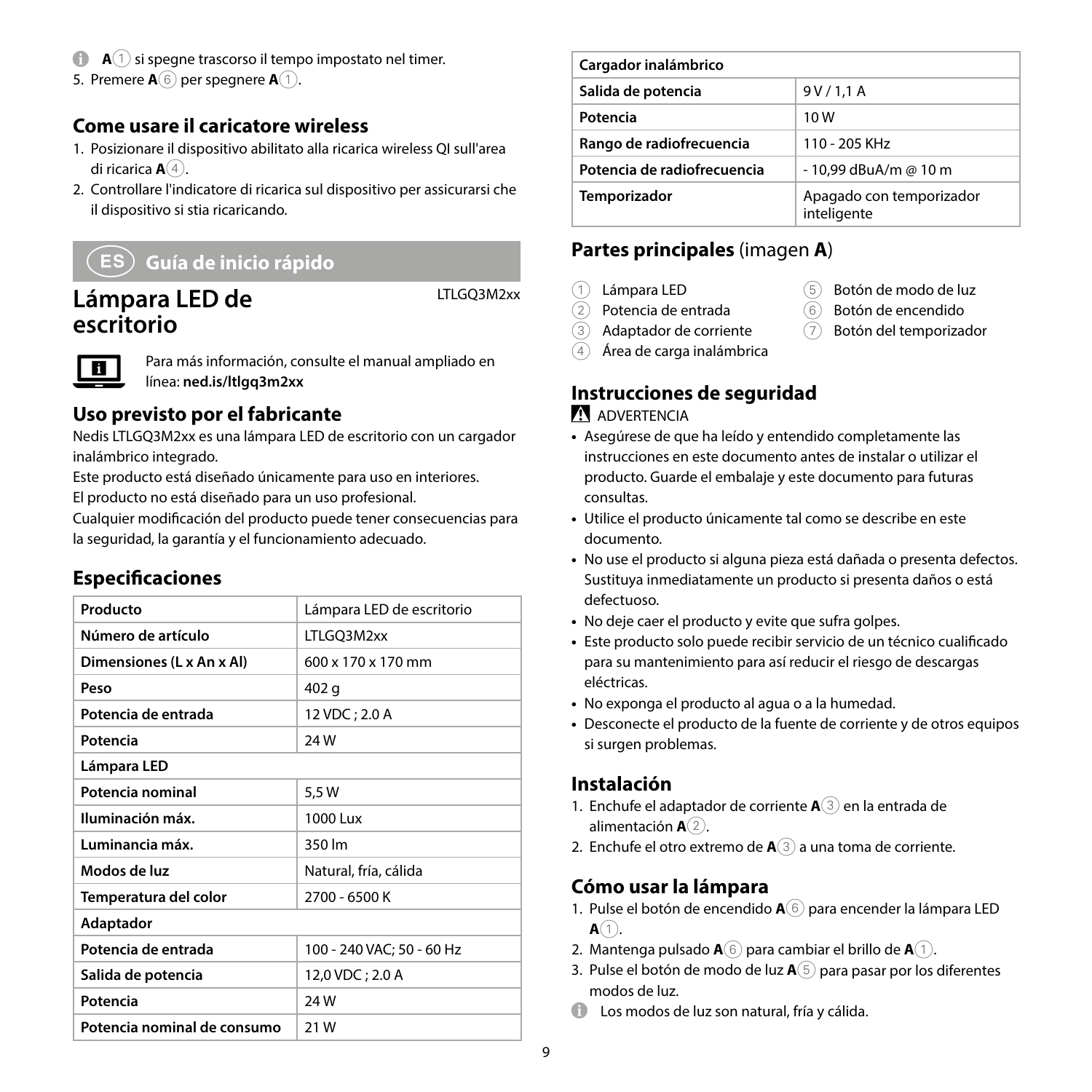- **A** $\widehat{1}$  si spegne trascorso il tempo impostato nel timer.
- 5. Premere **A**<sup>6</sup> per spegnere **A**<sup>1</sup>.

#### **Come usare il caricatore wireless**

- 1. Posizionare il dispositivo abilitato alla ricarica wireless QI sull'area di ricarica **A**4.
- 2. Controllare l'indicatore di ricarica sul dispositivo per assicurarsi che il dispositivo si stia ricaricando.

# h **Guía de inicio rápido**

# **Lámpara LED de escritorio**

LTLGQ3M2xx



Para más información, consulte el manual ampliado en línea: **ned.is/ltlgq3m2xx**

#### **Uso previsto por el fabricante**

Nedis LTLGQ3M2xx es una lámpara LED de escritorio con un cargador inalámbrico integrado.

Este producto está diseñado únicamente para uso en interiores.

El producto no está diseñado para un uso profesional.

Cualquier modificación del producto puede tener consecuencias para la seguridad, la garantía y el funcionamiento adecuado.

#### **Especificaciones**

| Producto                    | Lámpara LED de escritorio |
|-----------------------------|---------------------------|
| Número de artículo          | LTLGO3M2xx                |
| Dimensiones (L x An x Al)   | 600 x 170 x 170 mm        |
| Peso                        | 402 g                     |
| Potencia de entrada         | 12 VDC; 2.0 A             |
| Potencia                    | 24W                       |
| Lámpara LED                 |                           |
| Potencia nominal            | 5,5 W                     |
| Iluminación máx.            | 1000 Lux                  |
| Luminancia máx.             | 350 lm                    |
| Modos de luz                | Natural, fría, cálida     |
| Temperatura del color       | 2700 - 6500 K             |
| Adaptador                   |                           |
| Potencia de entrada         | 100 - 240 VAC; 50 - 60 Hz |
| Salida de potencia          | 12,0 VDC; 2.0 A           |
| Potencia                    | 24W                       |
| Potencia nominal de consumo | 21 W                      |

| Cargador inalámbrico        |                                         |
|-----------------------------|-----------------------------------------|
| Salida de potencia          | 9V/1.1A                                 |
| Potencia                    | 10 W                                    |
| Rango de radiofrecuencia    | 110 - 205 KHz                           |
| Potencia de radiofrecuencia | - 10.99 dBuA/m @ 10 m                   |
| Temporizador                | Apagado con temporizador<br>inteligente |

#### **Partes principales** (imagen **A**)

- 1 Lámpara LED
- 2 Potencia de entrada
- 3 Adaptador de corriente 4 Área de carga inalámbrica
- 5 Botón de modo de luz
- 6 Botón de encendido
- 7 Botón del temporizador
- **Instrucciones de seguridad ADVERTENCIA**
- **•** Asegúrese de que ha leído y entendido completamente las instrucciones en este documento antes de instalar o utilizar el producto. Guarde el embalaje y este documento para futuras consultas.
- **•** Utilice el producto únicamente tal como se describe en este documento.
- **•** No use el producto si alguna pieza está dañada o presenta defectos. Sustituya inmediatamente un producto si presenta daños o está defectuoso.
- **•** No deje caer el producto y evite que sufra golpes.
- **•** Este producto solo puede recibir servicio de un técnico cualificado para su mantenimiento para así reducir el riesgo de descargas eléctricas.
- **•** No exponga el producto al agua o a la humedad.
- **•** Desconecte el producto de la fuente de corriente y de otros equipos si surgen problemas.

#### **Instalación**

- 1. Enchufe el adaptador de corriente **A**3 en la entrada de alimentación **A**<sup>(2)</sup>.
- 2. Enchufe el otro extremo de **A**3 a una toma de corriente.

#### **Cómo usar la lámpara**

- 1. Pulse el botón de encendido **A**6 para encender la lámpara LED  $A(1)$ .
- 2. Mantenga pulsado **A**6 para cambiar el brillo de **A**1.
- 3. Pulse el botón de modo de luz **A**5 para pasar por los diferentes modos de luz.
- 4 Los modos de luz son natural, fría y cálida.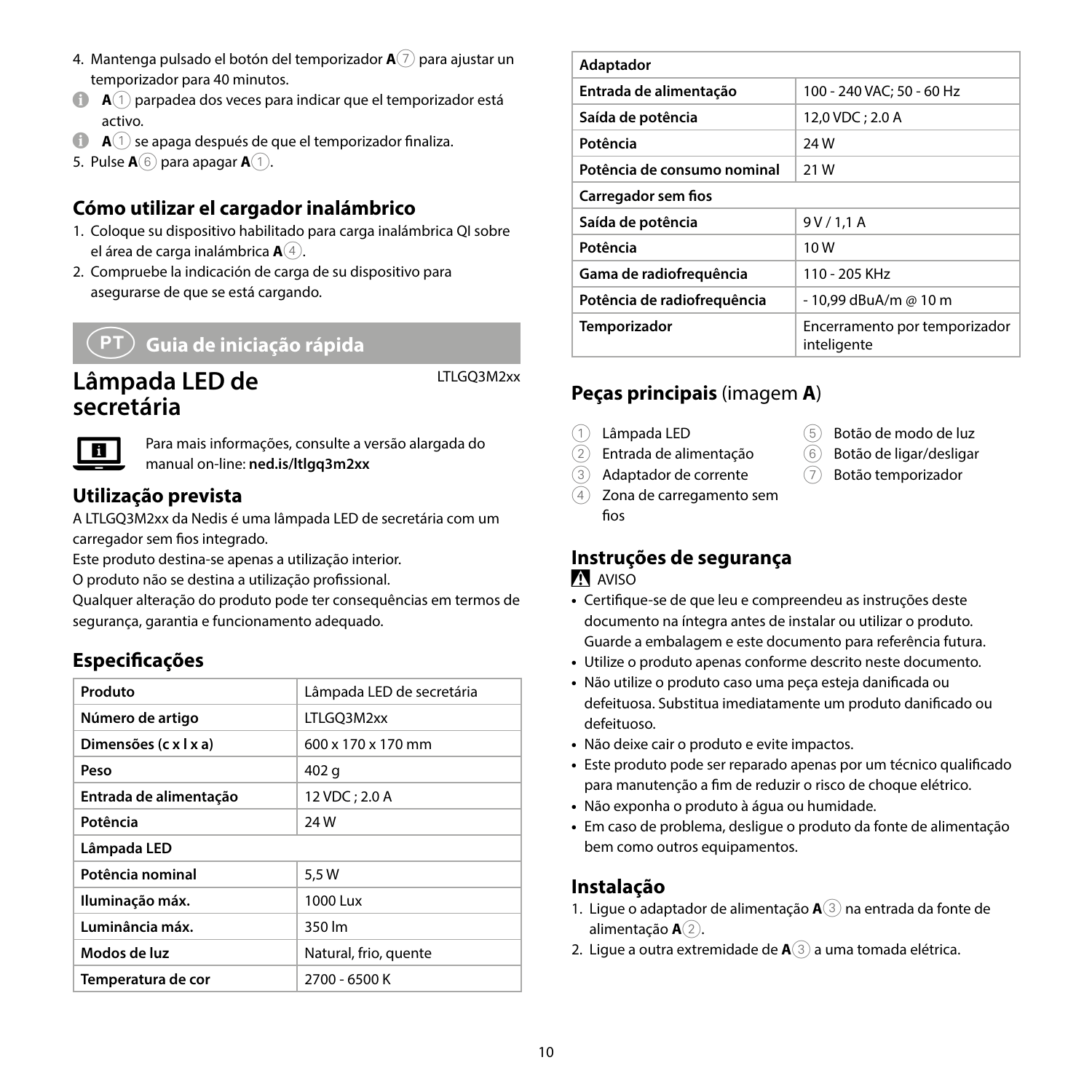- 4. Mantenga pulsado el botón del temporizador **A**7 para ajustar un temporizador para 40 minutos.
- 4 **<sup>A</sup>**1 parpadea dos veces para indicar que el temporizador está activo.
- **A**(1) se apaga después de que el temporizador finaliza.
- 5. Pulse **A**6 para apagar **A**1.

#### **Cómo utilizar el cargador inalámbrico**

- 1. Coloque su dispositivo habilitado para carga inalámbrica QI sobre el área de carga inalámbrica **A**4.
- 2. Compruebe la indicación de carga de su dispositivo para asegurarse de que se está cargando.

# i **Guia de iniciação rápida**

# **Lâmpada LED de secretária**

LTLGQ3M2xx



Para mais informações, consulte a versão alargada do manual on-line: **ned.is/ltlgq3m2xx**

#### **Utilização prevista**

A LTLGQ3M2xx da Nedis é uma lâmpada LED de secretária com um carregador sem fios integrado.

Este produto destina-se apenas a utilização interior.

O produto não se destina a utilização profissional.

Qualquer alteração do produto pode ter consequências em termos de segurança, garantia e funcionamento adequado.

#### **Especificações**

| Produto                | Lâmpada LED de secretária |  |
|------------------------|---------------------------|--|
|                        |                           |  |
| Número de artigo       | LTLGO3M2xx                |  |
| Dimensões (c x l x a)  | 600 x 170 x 170 mm        |  |
| Peso                   | 402 g                     |  |
| Entrada de alimentação | 12 VDC; 2.0 A             |  |
| Potência               | 24 W                      |  |
| Lâmpada LED            |                           |  |
| Potência nominal       | 5.5 W                     |  |
| Iluminação máx.        | 1000 Lux                  |  |
| Luminância máx.        | 350 lm                    |  |
| Modos de luz           | Natural, frio, quente     |  |
| Temperatura de cor     | 2700 - 6500 K             |  |

| Adaptador                   |                                              |  |
|-----------------------------|----------------------------------------------|--|
| Entrada de alimentação      | 100 - 240 VAC: 50 - 60 Hz                    |  |
| Saída de potência           | 12,0 VDC; 2.0 A                              |  |
| Potência                    | 24W                                          |  |
| Potência de consumo nominal | 21 W                                         |  |
| Carregador sem fios         |                                              |  |
| Saída de potência           | 9V/1.1A                                      |  |
| Potência                    | 10W                                          |  |
| Gama de radiofreguência     | 110 - 205 KHz                                |  |
| Potência de radiofrequência | - 10.99 dBuA/m @ 10 m                        |  |
| <b>Temporizador</b>         | Encerramento por temporizador<br>inteligente |  |

# **Peças principais** (imagem **A**)

- 1 Lâmpada LED
- $\overline{2}$  Entrada de alimentação
- 3 Adaptador de corrente
- 4 Zona de carregamento sem fios
- 5 Botão de modo de luz
- $\widehat{6}$  Botão de ligar/desligar
- 7 Botão temporizador
- 

# **Instruções de segurança**

#### AVISO

- **•** Certifique-se de que leu e compreendeu as instruções deste documento na íntegra antes de instalar ou utilizar o produto. Guarde a embalagem e este documento para referência futura.
- **•** Utilize o produto apenas conforme descrito neste documento.
- **•** Não utilize o produto caso uma peça esteja danificada ou defeituosa. Substitua imediatamente um produto danificado ou defeituoso.
- **•** Não deixe cair o produto e evite impactos.
- **•** Este produto pode ser reparado apenas por um técnico qualificado para manutenção a fim de reduzir o risco de choque elétrico.
- **•** Não exponha o produto à água ou humidade.
- **•** Em caso de problema, desligue o produto da fonte de alimentação bem como outros equipamentos.

#### **Instalação**

- 1. Ligue o adaptador de alimentação **A**3 na entrada da fonte de alimentação **A**<sup>2</sup>.
- 2. Ligue a outra extremidade de **A**3 a uma tomada elétrica.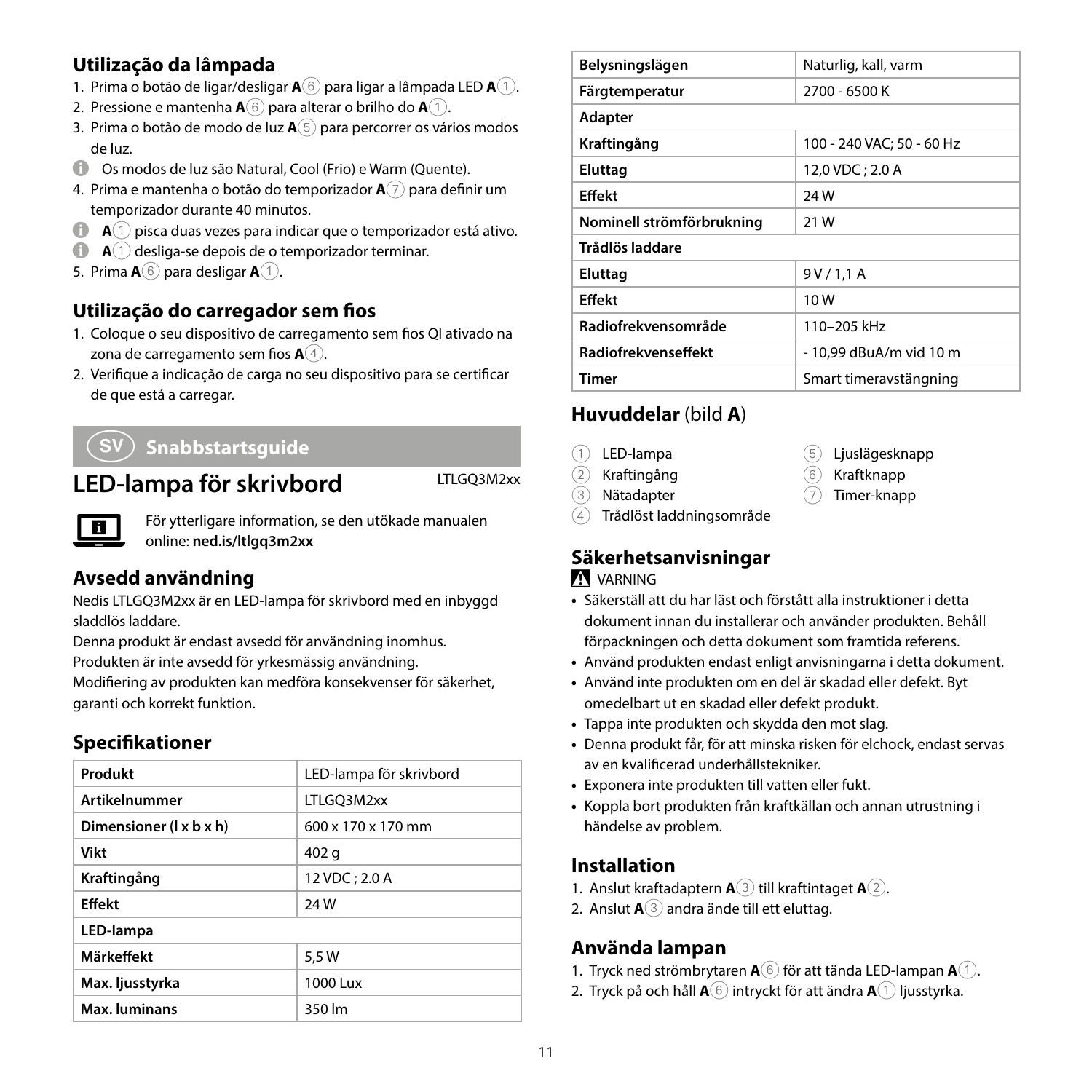#### **Utilização da lâmpada**

- 1. Prima o botão de ligar/desligar **A**6 para ligar a lâmpada LED **A**1.
- 2. Pressione e mantenha **A**6 para alterar o brilho do **A**1.
- 3. Prima o botão de modo de luz **A**5 para percorrer os vários modos de luz.
- 4 Os modos de luz são Natural, Cool (Frio) e Warm (Quente).
- 4. Prima e mantenha o botão do temporizador **A**7 para definir um temporizador durante 40 minutos.
- **A** $\cap$  **A** $\cap$  pisca duas vezes para indicar que o temporizador está ativo.
- **A** $\bigcap$  **A** $\bigcap$  desliga-se depois de o temporizador terminar.
- 5. Prima **A**6 para desligar **A**1.

#### **Utilização do carregador sem fios**

- 1. Coloque o seu dispositivo de carregamento sem fios QI ativado na zona de carregamento sem fios **A**4.
- 2. Verifique a indicação de carga no seu dispositivo para se certificar de que está a carregar.

# e **Snabbstartsguide**

# LED-lampa för skrivbord LTLGQ3M2xx

För ytterligare information, se den utökade manualen online: **ned.is/ltlgq3m2xx**

#### **Avsedd användning**

Nedis LTLGQ3M2xx är en LED-lampa för skrivbord med en inbyggd sladdlös laddare.

Denna produkt är endast avsedd för användning inomhus. Produkten är inte avsedd för yrkesmässig användning.

Modifiering av produkten kan medföra konsekvenser för säkerhet, garanti och korrekt funktion.

#### **Specifikationer**

| Produkt                 | LED-lampa för skrivbord        |
|-------------------------|--------------------------------|
| <b>Artikelnummer</b>    | LTLGO3M2xx                     |
| Dimensioner (I x b x h) | $600 \times 170 \times 170$ mm |
| Vikt                    | 402 g                          |
| Kraftingång             | 12 VDC; 2.0 A                  |
| <b>Effekt</b>           | 24W                            |
| LED-lampa               |                                |
| Märkeffekt              | 5.5 W                          |
| Max. ljusstyrka         | 1000 Lux                       |
| Max. luminans           | 350 lm                         |

| Belysningslägen            | Naturlig, kall, varm      |  |
|----------------------------|---------------------------|--|
| Färgtemperatur             | 2700 - 6500 K             |  |
| Adapter                    |                           |  |
| Kraftingång                | 100 - 240 VAC; 50 - 60 Hz |  |
| Eluttag                    | 12,0 VDC; 2.0 A           |  |
| <b>Effekt</b>              | 24W                       |  |
| Nominell strömförbrukning  | 21 W                      |  |
| Trådlös laddare            |                           |  |
| Eluttag                    | 9V/1.1A                   |  |
| <b>Effekt</b>              | 10W                       |  |
| Radiofrekvensområde        | 110-205 kHz               |  |
| <b>Radiofrekvenseffekt</b> | - 10.99 dBuA/m vid 10 m   |  |
| <b>Timer</b>               | Smart timeravstängning    |  |

#### **Huvuddelar** (bild **A**)

- 1 LED-lampa
- 2 Kraftingång
- 3 Nätadapter
- 4 Trådlöst laddningsområde

#### **Säkerhetsanvisningar**

#### **N** VARNING

- **•** Säkerställ att du har läst och förstått alla instruktioner i detta dokument innan du installerar och använder produkten. Behåll förpackningen och detta dokument som framtida referens.
- **•** Använd produkten endast enligt anvisningarna i detta dokument.
- **•** Använd inte produkten om en del är skadad eller defekt. Byt omedelbart ut en skadad eller defekt produkt.
- **•** Tappa inte produkten och skydda den mot slag.
- **•** Denna produkt får, för att minska risken för elchock, endast servas av en kvalificerad underhållstekniker.
- **•** Exponera inte produkten till vatten eller fukt.
- **•** Koppla bort produkten från kraftkällan och annan utrustning i händelse av problem.

#### **Installation**

- 1. Anslut kraftadaptern **A**3 till kraftintaget **A**2.
- 2. Anslut **A**3 andra ände till ett eluttag.

#### **Använda lampan**

- 1. Tryck ned strömbrytaren **A**6 för att tända LED-lampan **A**1.
- 2. Tryck på och håll **A**6 intryckt för att ändra **A**1 ljusstyrka.
- 5 Ljuslägesknapp
- 6 Kraftknapp
- 
- 
- 7 Timer-knapp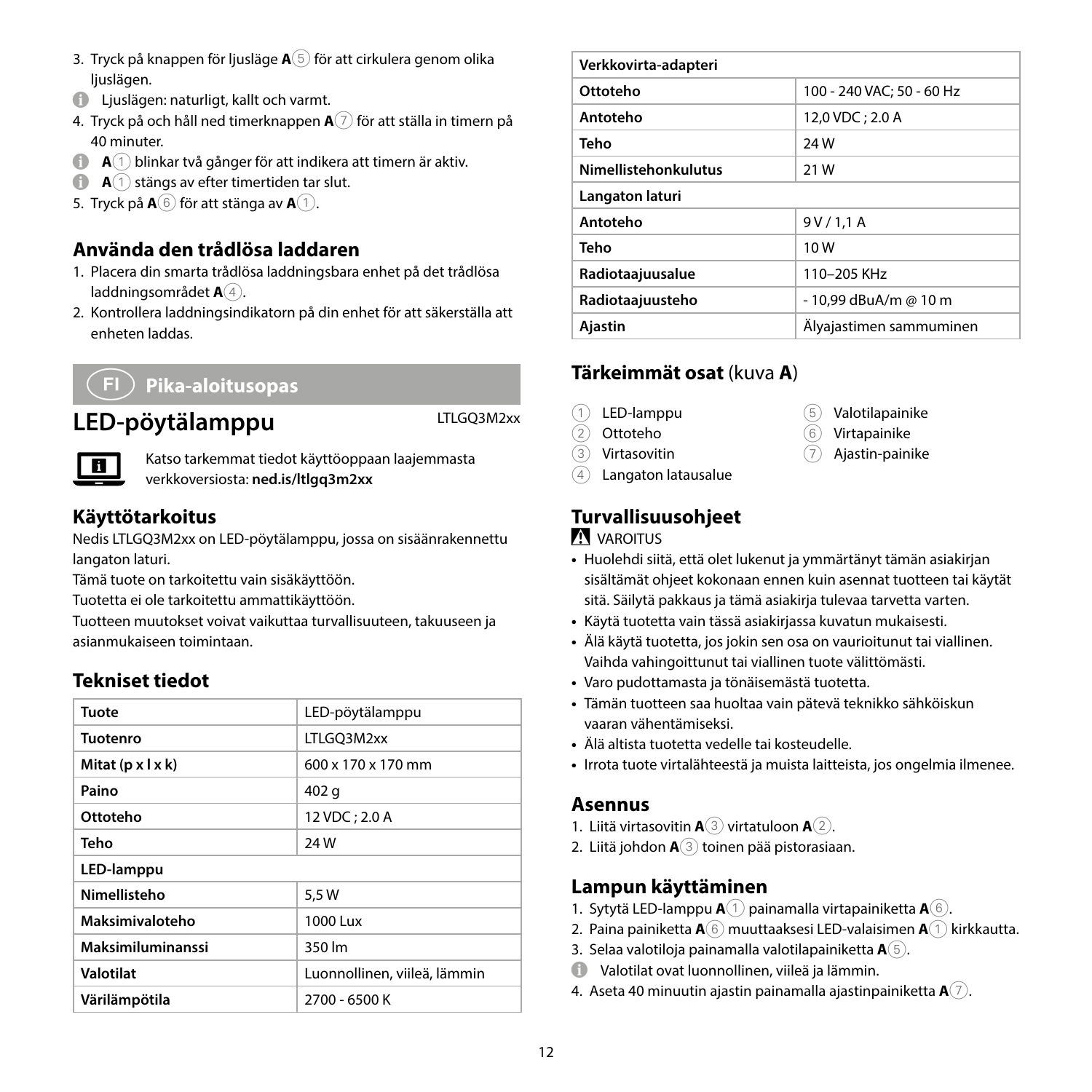- 3. Tryck på knappen för ljusläge **A**5 för att cirkulera genom olika liuslägen.
- 4 Ljuslägen: naturligt, kallt och varmt.
- 4. Tryck på och håll ned timerknappen **A**7 för att ställa in timern på 40 minuter.
- **A** $\bigcirc$  **A** $\bigcirc$  blinkar två gånger för att indikera att timern är aktiv.
- **A A** 1 stängs av efter timertiden tar slut.
- 5. Tryck på **A**6 för att stänga av **A**1.

#### **Använda den trådlösa laddaren**

- 1. Placera din smarta trådlösa laddningsbara enhet på det trådlösa laddningsområdet **A**<sup>4</sup>.
- 2. Kontrollera laddningsindikatorn på din enhet för att säkerställa att enheten laddas.

# g **Pika-aloitusopas**

# **LED-pöytälamppu** LTLGQ3M2xx



Katso tarkemmat tiedot käyttöoppaan laajemmasta verkkoversiosta: **ned.is/ltlgq3m2xx**

#### **Käyttötarkoitus**

Nedis LTLGQ3M2xx on LED-pöytälamppu, jossa on sisäänrakennettu langaton laturi.

Tämä tuote on tarkoitettu vain sisäkäyttöön.

Tuotetta ei ole tarkoitettu ammattikäyttöön.

Tuotteen muutokset voivat vaikuttaa turvallisuuteen, takuuseen ja asianmukaiseen toimintaan.

#### **Tekniset tiedot**

| Tuote                         | LED-pöytälamppu              |  |
|-------------------------------|------------------------------|--|
| <b>Tuotenro</b>               | LTLGO3M2xx                   |  |
| Mitat $(p \times l \times k)$ | 600 x 170 x 170 mm           |  |
| Paino                         | 402 g                        |  |
| Ottoteho                      | 12 VDC; 2.0 A                |  |
| Teho                          | 24W                          |  |
| LED-lamppu                    |                              |  |
| Nimellisteho                  | 5.5 W                        |  |
| Maksimivaloteho               | 1000 Lux                     |  |
| Maksimiluminanssi             | 350 lm                       |  |
| Valotilat                     | Luonnollinen, viileä, lämmin |  |
| Värilämpötila                 | 2700 - 6500 K                |  |

| Verkkovirta-adapteri |                           |  |
|----------------------|---------------------------|--|
| Ottoteho             | 100 - 240 VAC; 50 - 60 Hz |  |
| Antoteho             | 12,0 VDC; 2.0 A           |  |
| Teho                 | <b>24W</b>                |  |
| Nimellistehonkulutus | 21 W                      |  |
| Langaton laturi      |                           |  |
| Antoteho             | 9V/1,1A                   |  |
| Teho                 | 10W                       |  |
| Radiotaajuusalue     | 110-205 KHz               |  |
| Radiotaajuusteho     | - 10.99 dBuA/m @ 10 m     |  |
| Ajastin              | Älyajastimen sammuminen   |  |

#### **Tärkeimmät osat** (kuva **A**)

- 1 LED-lamppu
- 2 Ottoteho
- $\overline{3}$  Virtasovitin
- 5 Valotilapainike
- 6 Virtapainike
- $\overline{7}$  Ajastin-painike
- 4 Langaton latausalue

# **Turvallisuusohjeet**

#### **N** VAROITUS

- **•** Huolehdi siitä, että olet lukenut ja ymmärtänyt tämän asiakirjan sisältämät ohjeet kokonaan ennen kuin asennat tuotteen tai käytät sitä. Säilytä pakkaus ja tämä asiakirja tulevaa tarvetta varten.
- **•** Käytä tuotetta vain tässä asiakirjassa kuvatun mukaisesti.
- **•** Älä käytä tuotetta, jos jokin sen osa on vaurioitunut tai viallinen. Vaihda vahingoittunut tai viallinen tuote välittömästi.
- **•** Varo pudottamasta ja tönäisemästä tuotetta.
- **•** Tämän tuotteen saa huoltaa vain pätevä teknikko sähköiskun vaaran vähentämiseksi.
- **•** Älä altista tuotetta vedelle tai kosteudelle.
- **•** Irrota tuote virtalähteestä ja muista laitteista, jos ongelmia ilmenee.

#### **Asennus**

- 1. Liitä virtasovitin **A**3 virtatuloon **A**2.
- 2. Liitä johdon **A**3 toinen pää pistorasiaan.

#### **Lampun käyttäminen**

- 1. Sytytä LED-lamppu **A**1 painamalla virtapainiketta **A**6.
- 2. Paina painiketta **A**6 muuttaaksesi LED-valaisimen **A**1 kirkkautta.
- 3. Selaa valotiloja painamalla valotilapainiketta **A**5.
- 4 Valotilat ovat luonnollinen, viileä ja lämmin.
- 4. Aseta 40 minuutin ajastin painamalla ajastinpainiketta **A**7.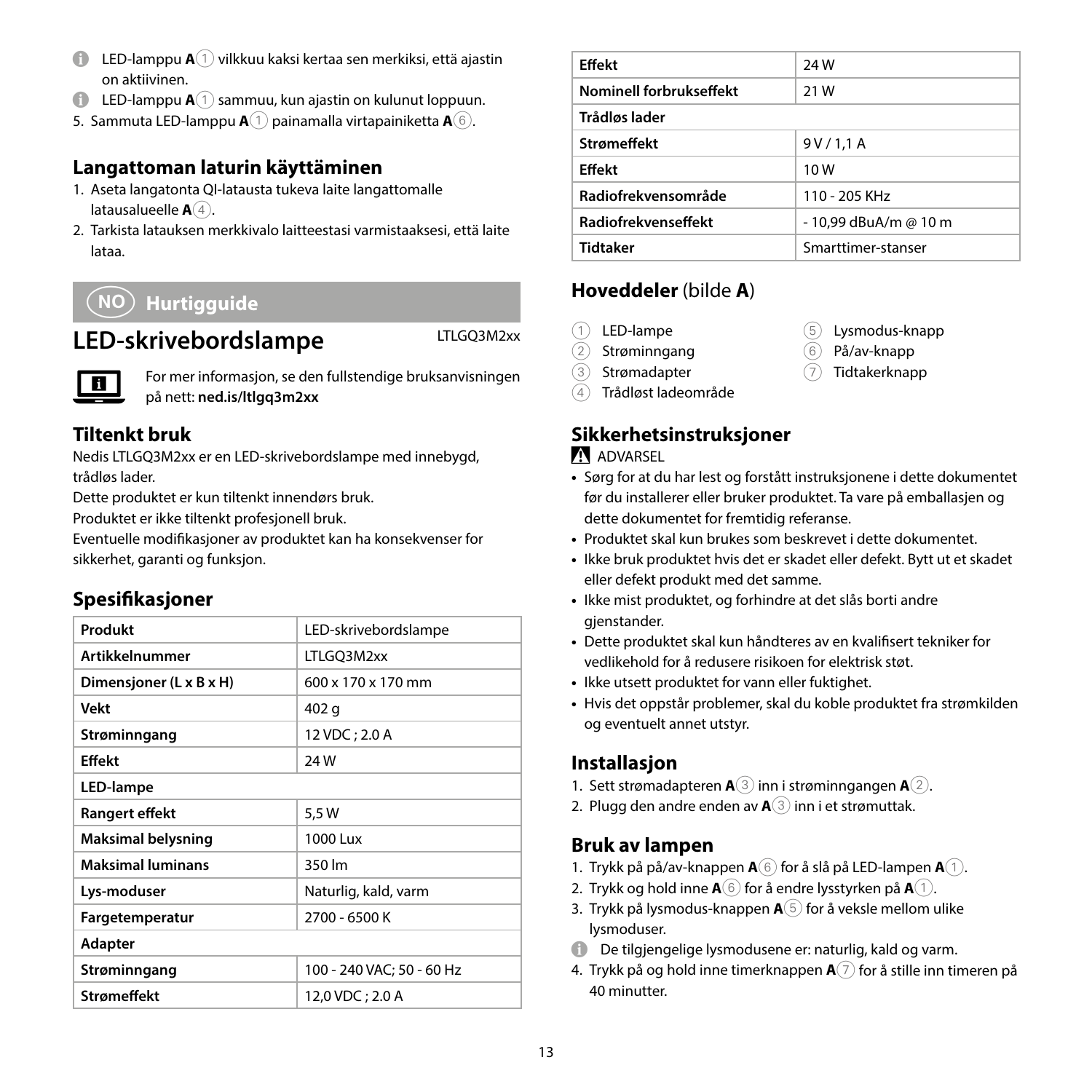- 4 LED-lamppu **A**1 vilkkuu kaksi kertaa sen merkiksi, että ajastin on aktiivinen.
- $\bigoplus$  LED-lamppu  $\mathbf{A}^{(1)}$  sammuu, kun ajastin on kulunut loppuun.
- 5. Sammuta LED-lamppu **A**1 painamalla virtapainiketta **A**6.

#### **Langattoman laturin käyttäminen**

- 1. Aseta langatonta QI-latausta tukeva laite langattomalle latausalueelle **A**<sup>4</sup>.
- 2. Tarkista latauksen merkkivalo laitteestasi varmistaaksesi, että laite lataa.

# f **Hurtigguide**

# LED-skrivebordslampe LTLGQ3M2xx



For mer informasjon, se den fullstendige bruksanvisningen på nett: **ned.is/ltlgq3m2xx**

# **Tiltenkt bruk**

Nedis LTLGQ3M2xx er en LED-skrivebordslampe med innebygd, trådløs lader.

Dette produktet er kun tiltenkt innendørs bruk.

Produktet er ikke tiltenkt profesjonell bruk.

Eventuelle modifikasjoner av produktet kan ha konsekvenser for sikkerhet, garanti og funksjon.

# **Spesifikasjoner**

| LED-skrivebordslampe           |  |  |
|--------------------------------|--|--|
| LTLGQ3M2xx                     |  |  |
| $600 \times 170 \times 170$ mm |  |  |
| 402 g                          |  |  |
| 12 VDC: 2.0 A                  |  |  |
| 24W                            |  |  |
| LED-lampe                      |  |  |
| 5.5 W                          |  |  |
| 1000 Lux                       |  |  |
| 350 lm                         |  |  |
| Naturlig, kald, varm           |  |  |
| 2700 - 6500 K                  |  |  |
| Adapter                        |  |  |
| 100 - 240 VAC; 50 - 60 Hz      |  |  |
| 12.0 VDC: 2.0 A                |  |  |
|                                |  |  |

| <b>Effekt</b>           | <b>24W</b>            |
|-------------------------|-----------------------|
| Nominell forbrukseffekt | 21 W                  |
| Trådløs lader           |                       |
| <b>Strømeffekt</b>      | 9V/1,1A               |
| <b>Effekt</b>           | 10W                   |
| Radiofrekvensområde     | 110 - 205 KHz         |
| Radiofrekvenseffekt     | - 10.99 dBuA/m @ 10 m |
| <b>Tidtaker</b>         | Smarttimer-stanser    |
|                         |                       |

# **Hoveddeler** (bilde **A**)

- 1 LED-lampe
- 2 Strøminngang
- 3 Strømadapter
- 4 Trådløst ladeområde

# **Sikkerhetsinstruksjoner**

#### **ADVARSEL**

- **•** Sørg for at du har lest og forstått instruksjonene i dette dokumentet før du installerer eller bruker produktet. Ta vare på emballasjen og dette dokumentet for fremtidig referanse.
- **•** Produktet skal kun brukes som beskrevet i dette dokumentet.
- **•** Ikke bruk produktet hvis det er skadet eller defekt. Bytt ut et skadet eller defekt produkt med det samme.
- **•** Ikke mist produktet, og forhindre at det slås borti andre gjenstander.
- **•** Dette produktet skal kun håndteres av en kvalifisert tekniker for vedlikehold for å redusere risikoen for elektrisk støt.
- **•** Ikke utsett produktet for vann eller fuktighet.
- **•** Hvis det oppstår problemer, skal du koble produktet fra strømkilden og eventuelt annet utstyr.

#### **Installasjon**

- 1. Sett strømadapteren **A**3 inn i strøminngangen **A**2.
- 2. Plugg den andre enden av **A**3 inn i et strømuttak.

#### **Bruk av lampen**

- 1. Trykk på på/av-knappen **A**6 for å slå på LED-lampen **A**1.
- 2. Trykk og hold inne  $\mathbf{A}(\widehat{\mathbf{6}})$  for å endre lysstyrken på  $\mathbf{A}(\widehat{\mathbf{1}})$ .
- 3. Trykk på lysmodus-knappen **A**5 for å veksle mellom ulike lysmoduser.
- 4 De tilgjengelige lysmodusene er: naturlig, kald og varm.
- 4. Trykk på og hold inne timerknappen **A**7 for å stille inn timeren på 40 minutter.
- 5 Lysmodus-knapp
- 6 På/av-knapp
- 7 Tidtakerknapp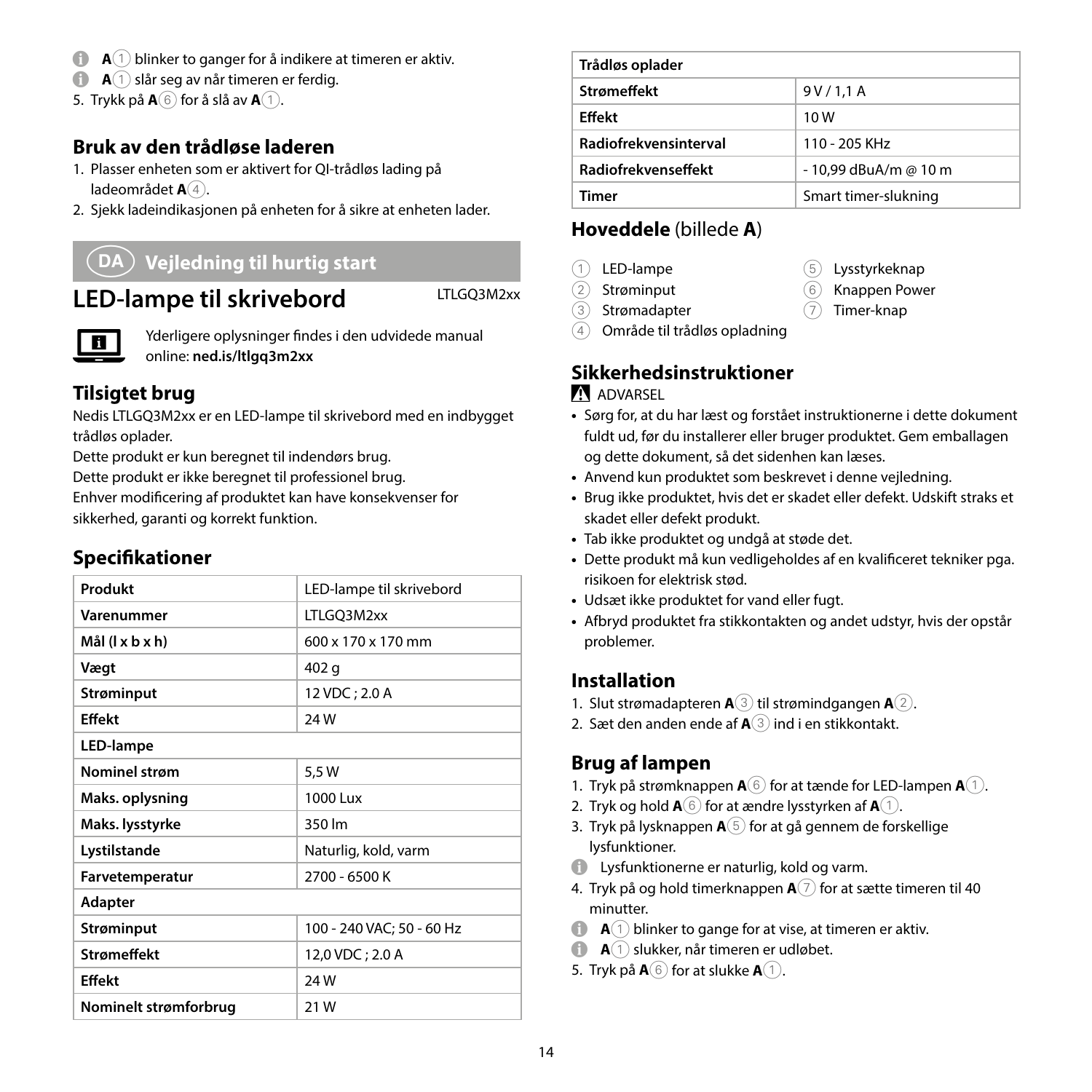- **A**  $\bigcap$  **A** $\bigcap$  blinker to ganger for å indikere at timeren er aktiv.
- **A A** 1 slår seg av når timeren er ferdig.
- 5. Trykk på  $\mathbf{A}(\mathbf{6})$  for å slå av  $\mathbf{A}(1)$ .

# **Bruk av den trådløse laderen**

- 1. Plasser enheten som er aktivert for QI-trådløs lading på ladeområdet **A**<sup>4</sup>.
- 2. Sjekk ladeindikasjonen på enheten for å sikre at enheten lader.

# 2 **Vejledning til hurtig start**

# LED-lampe til skrivebord LTLGQ3M2xx

П

Yderligere oplysninger findes i den udvidede manual online: **ned.is/ltlgq3m2xx**

# **Tilsigtet brug**

Nedis LTLGQ3M2xx er en LED-lampe til skrivebord med en indbygget trådløs oplader.

Dette produkt er kun beregnet til indendørs brug.

Dette produkt er ikke beregnet til professionel brug.

Enhver modificering af produktet kan have konsekvenser for sikkerhed, garanti og korrekt funktion.

#### **Specifikationer**

| Produkt               | LED-lampe til skrivebord  |
|-----------------------|---------------------------|
| Varenummer            | LTLGO3M2xx                |
| Mål (l x b x h)       | 600 x 170 x 170 mm        |
| Vægt                  | 402 g                     |
| Strøminput            | 12 VDC; 2.0 A             |
| Fffekt                | <b>24W</b>                |
| LED-lampe             |                           |
| <b>Nominel strøm</b>  | 5,5W                      |
| Maks. oplysning       | 1000 Lux                  |
| Maks. lysstyrke       | 350 lm                    |
| Lystilstande          | Naturlig, kold, varm      |
| Farvetemperatur       | 2700 - 6500 K             |
| Adapter               |                           |
| Strøminput            | 100 - 240 VAC; 50 - 60 Hz |
| <b>Strømeffekt</b>    | 12,0 VDC; 2.0 A           |
| Fffekt                | 24W                       |
| Nominelt strømforbrug | 21W                       |

| Trådløs oplader              |                       |
|------------------------------|-----------------------|
| <b>Strømeffekt</b>           | 9V/1.1A               |
| Fffekt                       | 10 W                  |
| <b>Radiofrekvensinterval</b> | $110 - 205$ KHz       |
| <b>Radiofrekvenseffekt</b>   | - 10,99 dBuA/m @ 10 m |
| Timer                        | Smart timer-slukning  |

#### **Hoveddele** (billede **A**)

- 1 LED-lampe
- 2 Strøminput
- 3 Strømadapter
- 4 Område til trådløs opladning

# **Sikkerhedsinstruktioner**

#### **N** ADVARSEL

- **•** Sørg for, at du har læst og forstået instruktionerne i dette dokument fuldt ud, før du installerer eller bruger produktet. Gem emballagen og dette dokument, så det sidenhen kan læses.
- **•** Anvend kun produktet som beskrevet i denne vejledning.
- **•** Brug ikke produktet, hvis det er skadet eller defekt. Udskift straks et skadet eller defekt produkt.
- **•** Tab ikke produktet og undgå at støde det.
- **•** Dette produkt må kun vedligeholdes af en kvalificeret tekniker pga. risikoen for elektrisk stød.
- **•** Udsæt ikke produktet for vand eller fugt.
- **•** Afbryd produktet fra stikkontakten og andet udstyr, hvis der opstår problemer.

#### **Installation**

- 1. Slut strømadapteren **A**3 til strømindgangen **A**2.
- 2. Sæt den anden ende af **A**3 ind i en stikkontakt.

#### **Brug af lampen**

- 1. Tryk på strømknappen  $\mathbf{A}(6)$  for at tænde for LED-lampen  $\mathbf{A}(1)$ .
- 2. Tryk og hold  $\mathbf{A}(6)$  for at ændre lysstyrken af  $\mathbf{A}(1)$ .
- 3. Tryk på lysknappen  $A(5)$  for at gå gennem de forskellige lysfunktioner.
- 4 Lysfunktionerne er naturlig, kold og varm.
- 4. Tryk på og hold timerknappen  $A(7)$  for at sætte timeren til 40 minutter.
- **A** $\bigcap$  **A** $\bigcap$  blinker to gange for at vise, at timeren er aktiv.
- **A** $(1)$  slukker, når timeren er udløbet.
- 5. Tryk på  $\mathbf{A}(\widehat{\mathbf{6}})$  for at slukke  $\mathbf{A}(\widehat{\mathbf{1}})$ .
- 5 Lysstyrkeknap
- 6 Knappen Power
	-
- 7 Timer-knap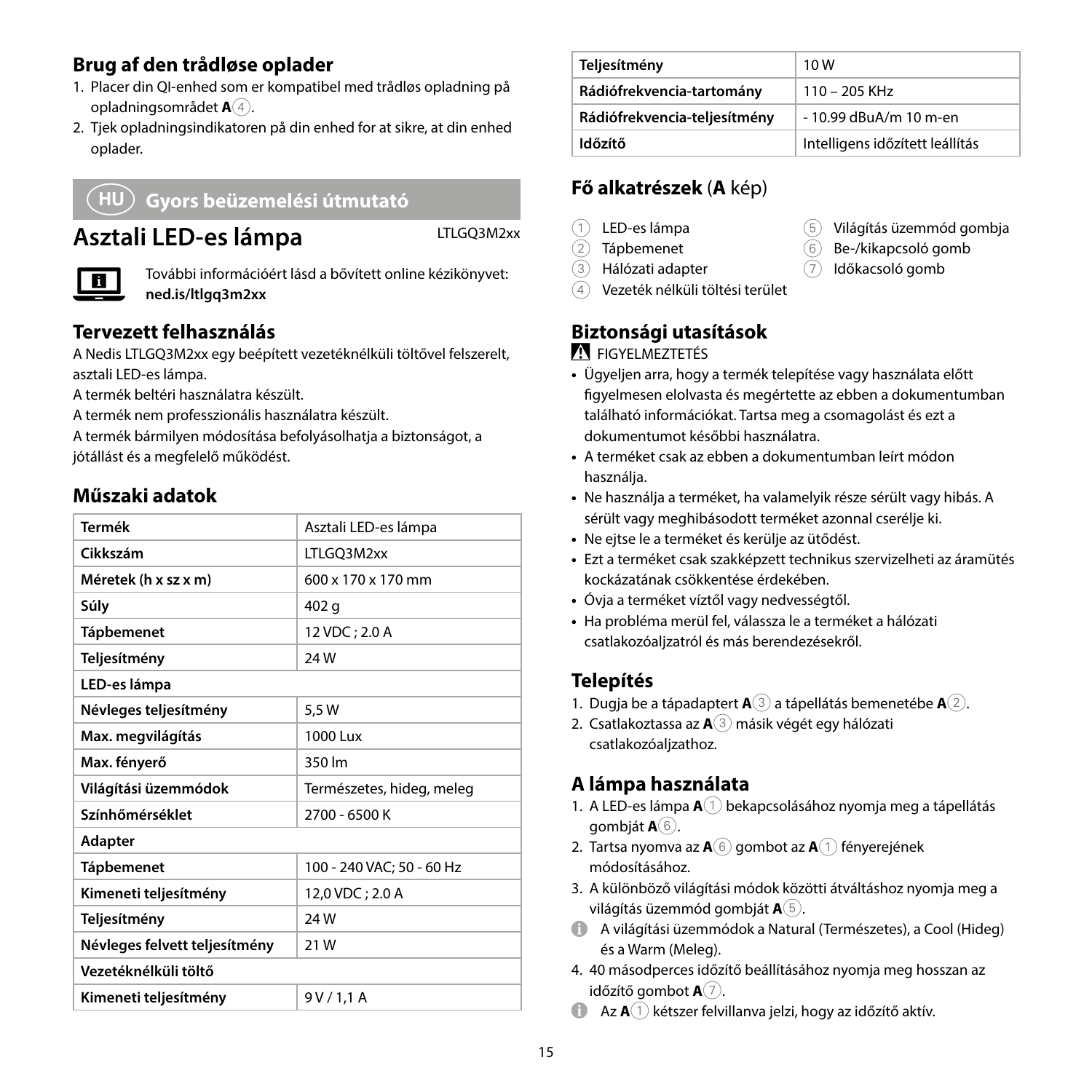# **Brug af den trådløse oplader**

- 1. Placer din QI-enhed som er kompatibel med trådløs opladning på opladningsområdet **A**4.
- 2. Tjek opladningsindikatoren på din enhed for at sikre, at din enhed oplader.

# k **Gyors beüzemelési útmutató**

# **Asztali LED-es lámpa** LTLGQ3M2xx



További információért lásd a bővített online kézikönyvet: **ned.is/ltlgq3m2xx**

# **Tervezett felhasználás**

A Nedis LTLGQ3M2xx egy beépített vezetéknélküli töltővel felszerelt, asztali LED-es lámpa.

A termék beltéri használatra készült.

A termék nem professzionális használatra készült.

A termék bármilyen módosítása befolyásolhatja a biztonságot, a jótállást és a megfelelő működést.

#### **Műszaki adatok**

| Termék                        | Asztali LED-es lámpa      |  |
|-------------------------------|---------------------------|--|
| Cikkszám                      | LTLGQ3M2xx                |  |
| Méretek (h x sz x m)          | 600 x 170 x 170 mm        |  |
| Súly                          | 402 g                     |  |
| <b>Tápbemenet</b>             | 12 VDC; 2.0 A             |  |
| Teljesítmény                  | 24W                       |  |
| LED-es lámpa                  |                           |  |
| Névleges teljesítmény         | 5.5 W                     |  |
| Max. megvilágítás             | 1000 Lux                  |  |
| Max. fényerő                  | 350 lm                    |  |
| Világítási üzemmódok          | Természetes, hideg, meleg |  |
| Színhőmérséklet               | 2700 - 6500 K             |  |
| Adapter                       |                           |  |
| <b>Tápbemenet</b>             | 100 - 240 VAC: 50 - 60 Hz |  |
| Kimeneti teljesítmény         | 12,0 VDC; 2.0 A           |  |
| Teljesítmény                  | <b>24W</b>                |  |
| Névleges felvett teljesítmény | 21W                       |  |
| Vezetéknélküli töltő          |                           |  |
| Kimeneti teljesítmény         | 9 V / 1.1 A               |  |

| Teljesítmény                 | 10W                             |
|------------------------------|---------------------------------|
| Rádiófrekvencia-tartomány    | $110 - 205$ KHz                 |
| Rádiófrekvencia-teljesítmény | - 10.99 dBuA/m 10 m-en          |
| ldőzítő                      | Intelligens időzített leállítás |

# **Fő alkatrészek** (**A** kép)

- 1 LED-es lámpa
- 2 Tápbemenet
- 3 Hálózati adapter
- 5 Világítás üzemmód gombja
- 6 Be-/kikapcsoló gomb
	- 7 Időkacsoló gomb
- 4 Vezeték nélküli töltési terület

# **Biztonsági utasítások**

**N** EIGYELMEZTETÉS

- **•** Ügyeljen arra, hogy a termék telepítése vagy használata előtt figyelmesen elolvasta és megértette az ebben a dokumentumban található információkat. Tartsa meg a csomagolást és ezt a dokumentumot későbbi használatra.
- **•** A terméket csak az ebben a dokumentumban leírt módon használja.
- **•** Ne használja a terméket, ha valamelyik része sérült vagy hibás. A sérült vagy meghibásodott terméket azonnal cserélje ki.
- **•** Ne ejtse le a terméket és kerülje az ütődést.
- **•** Ezt a terméket csak szakképzett technikus szervizelheti az áramütés kockázatának csökkentése érdekében.
- **•** Óvja a terméket víztől vagy nedvességtől.
- **•** Ha probléma merül fel, válassza le a terméket a hálózati csatlakozóaljzatról és más berendezésekről.

#### **Telepítés**

- 1. Dugja be a tápadaptert **A**3 a tápellátás bemenetébe **A**2.
- 2. Csatlakoztassa az **A**3 másik végét egy hálózati csatlakozóaljzathoz.

# **A lámpa használata**

- 1. A LED-es lámpa **A**<sup>1</sup> bekapcsolásához nyomja meg a tápellátás gombját **A**6.
- 2. Tartsa nyomva az **A**6 gombot az **A**1 fényerejének módosításához.
- 3. A különböző világítási módok közötti átváltáshoz nyomja meg a világítás üzemmód gombját **A**5.
- 4 A világítási üzemmódok a Natural (Természetes), a Cool (Hideg) és a Warm (Meleg).
- 4. 40 másodperces időzítő beállításához nyomja meg hosszan az időzítő gombot **A**7.
- **4 Az A**(1) kétszer felvillanva jelzi, hogy az időzítő aktív.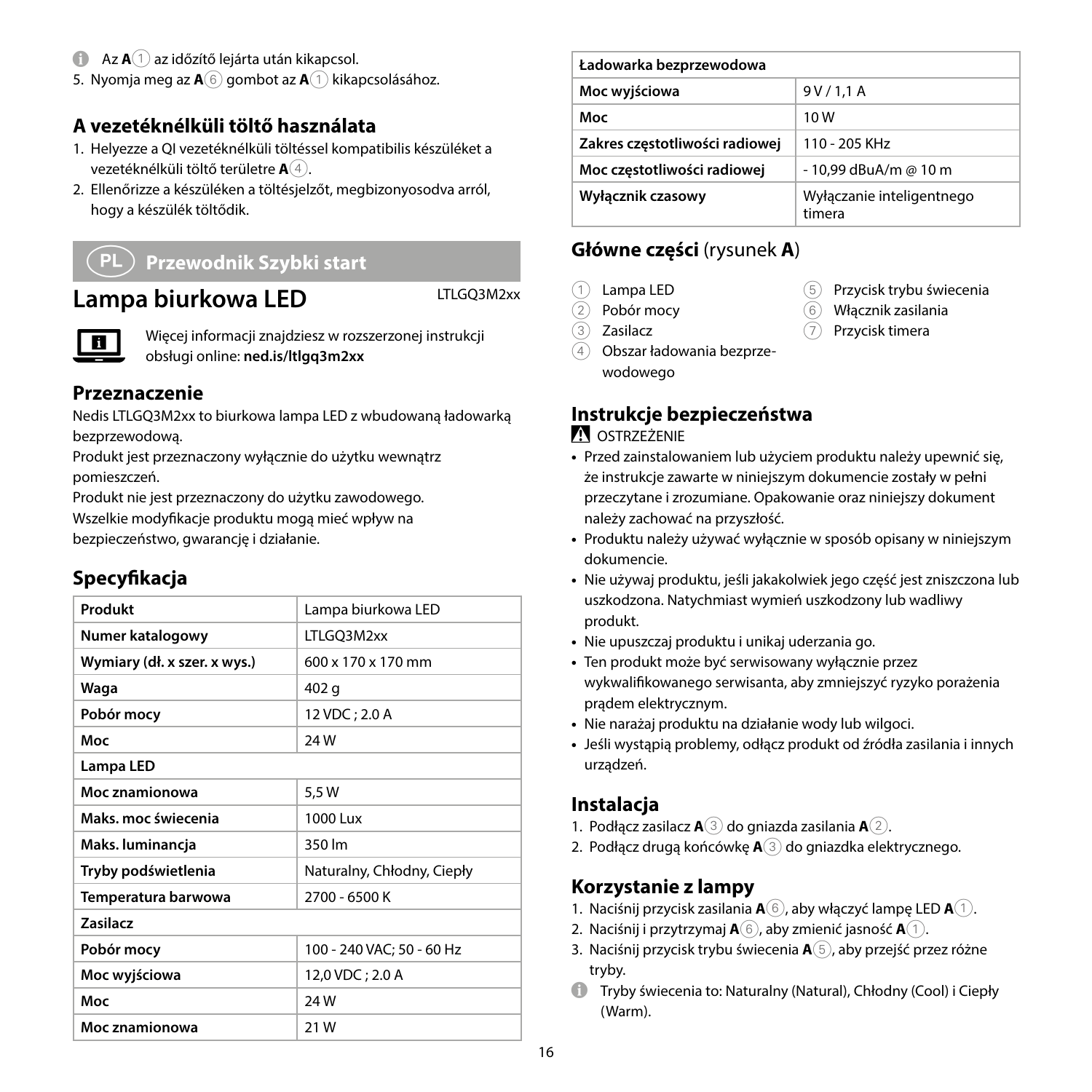- **1** Az **A** $(1)$  az időzítő lejárta után kikapcsol.
- 5. Nyomia meg az **A**<sup>6</sup> gombot az **A**<sup>1</sup> kikapcsolásához.

#### **A vezetéknélküli töltő használata**

- 1. Helyezze a QI vezetéknélküli töltéssel kompatibilis készüléket a vezetéknélküli töltő területre **A**4.
- 2. Ellenőrizze a készüléken a töltésjelzőt, megbizonyosodva arról, hogy a készülék töltődik.

#### n **Przewodnik Szybki start**

# Lampa biurkowa LED LTLGQ3M2xx



Więcej informacji znajdziesz w rozszerzonej instrukcji obsługi online: **ned.is/ltlgq3m2xx**

#### **Przeznaczenie**

Nedis LTLGQ3M2xx to biurkowa lampa LED z wbudowaną ładowarką bezprzewodową.

Produkt jest przeznaczony wyłącznie do użytku wewnątrz pomieszczeń.

Produkt nie jest przeznaczony do użytku zawodowego. Wszelkie modyfikacje produktu mogą mieć wpływ na

bezpieczeństwo, gwarancję i działanie.

# **Specyfikacja**

| Produkt                      | Lampa biurkowa LED             |  |
|------------------------------|--------------------------------|--|
| Numer katalogowy             | LTLGQ3M2xx                     |  |
| Wymiary (dł. x szer. x wys.) | $600 \times 170 \times 170$ mm |  |
| Waqa                         | 402 g                          |  |
| Pobór mocy                   | 12 VDC; 2.0 A                  |  |
| Moc                          | 24W                            |  |
| Lampa LED                    |                                |  |
| Moc znamionowa               | 5,5W                           |  |
| Maks, moc świecenia          | 1000 Lux                       |  |
| Maks. luminancja             | 350 lm                         |  |
| Tryby podświetlenia          | Naturalny, Chłodny, Ciepły     |  |
| Temperatura barwowa          | 2700 - 6500 K                  |  |
| <b>Zasilacz</b>              |                                |  |
| Pobór mocy                   | 100 - 240 VAC; 50 - 60 Hz      |  |
| Moc wyjściowa                | 12,0 VDC; 2.0 A                |  |
| Moc                          | 24W                            |  |
| Moc znamionowa               | 21W                            |  |

| Ładowarka bezprzewodowa        |                                     |
|--------------------------------|-------------------------------------|
| Moc wyjściowa                  | 9V/1.1A                             |
| Moc                            | 10W                                 |
| Zakres częstotliwości radiowej | $110 - 205$ KHz                     |
| Moc częstotliwości radiowej    | - 10.99 dBuA/m @ 10 m               |
| Wyłącznik czasowy              | Wyłaczanie inteligentnego<br>timera |

5 Przycisk trybu świecenia 6 Włącznik zasilania 7 Przycisk timera

# **Główne części** (rysunek **A**)

- 1 Lampa LED
- 2 Pobór mocy
- $\overline{3}$  Zasilacz
- 4 Obszar ładowania bezprzewodowego

# **Instrukcje bezpieczeństwa**

#### **N**OSTRZEŻENIE

- **•** Przed zainstalowaniem lub użyciem produktu należy upewnić się, że instrukcje zawarte w niniejszym dokumencie zostały w pełni przeczytane i zrozumiane. Opakowanie oraz niniejszy dokument należy zachować na przyszłość.
- **•** Produktu należy używać wyłącznie w sposób opisany w niniejszym dokumencie.
- **•** Nie używaj produktu, jeśli jakakolwiek jego część jest zniszczona lub uszkodzona. Natychmiast wymień uszkodzony lub wadliwy produkt.
- **•** Nie upuszczaj produktu i unikaj uderzania go.
- **•** Ten produkt może być serwisowany wyłącznie przez wykwalifikowanego serwisanta, aby zmniejszyć ryzyko porażenia prądem elektrycznym.
- **•** Nie narażaj produktu na działanie wody lub wilgoci.
- **•** Jeśli wystąpią problemy, odłącz produkt od źródła zasilania i innych urządzeń.

#### **Instalacja**

- 1. Podłącz zasilacz **A**3 do gniazda zasilania **A**2.
- 2. Podłącz drugą końcówkę **A**3 do gniazdka elektrycznego.

#### **Korzystanie z lampy**

- 1. Naciśnij przycisk zasilania **A**6, aby włączyć lampę LED **A**1.
- 2. Naciśnij i przytrzymaj **A**6, aby zmienić jasność **A**1.
- 3. Naciśnij przycisk trybu świecenia **A**5, aby przejść przez różne tryby.
- 4 Tryby świecenia to: Naturalny (Natural), Chłodny (Cool) i Ciepły (Warm).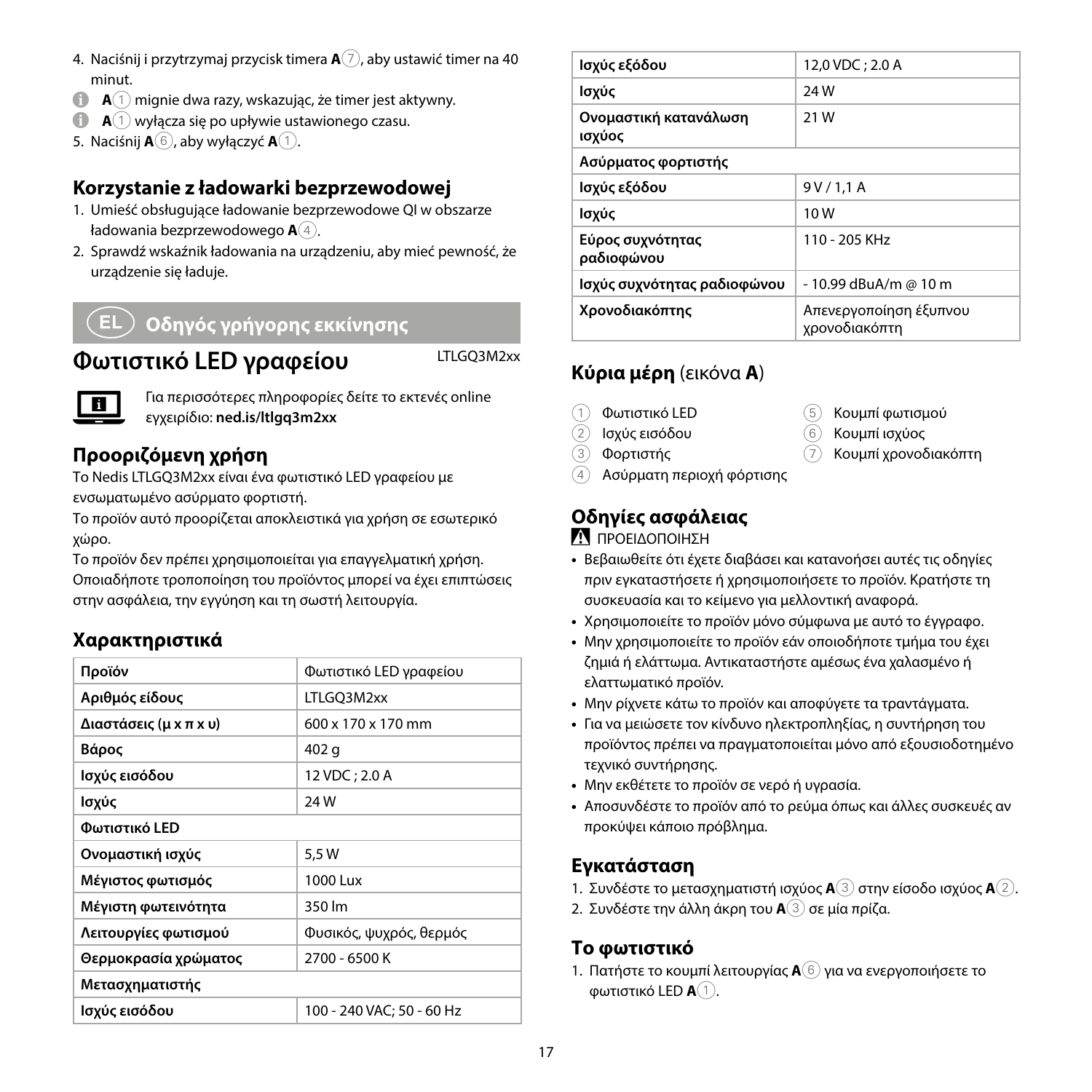- 4. Naciśnij i przytrzymaj przycisk timera **A**7, aby ustawić timer na 40 minut.
- **A** $\cap$  mignie dwa razy, wskazując, że timer jest aktywny.
- **A** $\cap$  wyłacza się po upływie ustawionego czasu.
- 5. Naciśnij **A** $(6)$ , aby wyłączyć **A** $(1)$ .

#### **Korzystanie z ładowarki bezprzewodowej**

- 1. Umieść obsługujące ładowanie bezprzewodowe QI w obszarze ładowania bezprzewodowego **A**4.
- 2. Sprawdź wskaźnik ładowania na urządzeniu, aby mieć pewność, że urządzenie się ładuje.

# x **Οδηγός γρήγορης εκκίνησης**

**Φωτιστικό LED γραφείου** LTLGQ3M2xx



Για περισσότερες πληροφορίες δείτε το εκτενές online εγχειρίδιο: **ned.is/ltlgq3m2xx**

#### **Προοριζόμενη χρήση**

Το Nedis LTLGQ3M2xx είναι ένα φωτιστικό LED γραφείου με ενσωματωμένο ασύρματο φορτιστή.

Το προϊόν αυτό προορίζεται αποκλειστικά για χρήση σε εσωτερικό χώρο.

Το προϊόν δεν πρέπει χρησιμοποιείται για επαγγελματική χρήση. Οποιαδήποτε τροποποίηση του προϊόντος μπορεί να έχει επιπτώσεις στην ασφάλεια, την εγγύηση και τη σωστή λειτουργία.

#### **Χαρακτηριστικά**

| Προϊόν                 | <b>Φωτιστικό LED γραφείου</b> |
|------------------------|-------------------------------|
| Αριθμός είδους         | LTLGQ3M2xx                    |
| Διαστάσεις (μ x π x υ) | 600 x 170 x 170 mm            |
| Βάρος                  | 402 g                         |
| Ισχύς εισόδου          | 12 VDC; 2.0 A                 |
| Ισχύς                  | <b>24W</b>                    |
| Φωτιστικό LED          |                               |
| Ονομαστική ισχύς       | 5.5 W                         |
| Μέγιστος φωτισμός      | 1000 Lux                      |
| Μέγιστη φωτεινότητα    | 350 lm                        |
| Λειτουργίες φωτισμού   | Φυσικός, ψυχρός, θερμός       |
| Θερμοκρασία χρώματος   | 2700 - 6500 K                 |
| Μετασχηματιστής        |                               |
| Ισχύς εισόδου          | 100 - 240 VAC: 50 - 60 Hz     |

| Ισχύς εξόδου                    | 12,0 VDC; 2.0 A                         |
|---------------------------------|-----------------------------------------|
| Ισχύς                           | <b>24W</b>                              |
| Ονομαστική κατανάλωση<br>ισχύος | 21 W                                    |
| Ασύρματος φορτιστής             |                                         |
| Ισχύς εξόδου                    | 9V/1.1A                                 |
| Ισχύς                           | 10W                                     |
| Εύρος συχνότητας<br>ραδιοφώνου  | 110 - 205 KHz                           |
| Ισχύς συχνότητας ραδιοφώνου     | - 10.99 dBuA/m @ 10 m                   |
| Χρονοδιακόπτης                  | Απενεργοποίηση έξυπνου<br>χρονοδιακόπτη |

# **Κύρια μέρη** (εικόνα **A**)

- 1 Φωτιστικό LED
- 2 Ισχύς εισόδου
- 3 Φορτιστής
- 5 Κουμπί φωτισμού
- 6 Κουμπί ισχύος
- 7 Κουμπί χρονοδιακόπτη
- 4 Ασύρματη περιοχή φόρτισης

# **Οδηγίες ασφάλειας**

-ΠΡΟΕΙΔΟΠΟΙΗΣΗ

- **•** Βεβαιωθείτε ότι έχετε διαβάσει και κατανοήσει αυτές τις οδηγίες πριν εγκαταστήσετε ή χρησιμοποιήσετε το προϊόν. Κρατήστε τη συσκευασία και το κείμενο για μελλοντική αναφορά.
- **•** Χρησιμοποιείτε το προϊόν μόνο σύμφωνα με αυτό το έγγραφο.
- **•** Μην χρησιμοποιείτε το προϊόν εάν οποιοδήποτε τμήμα του έχει ζημιά ή ελάττωμα. Αντικαταστήστε αμέσως ένα χαλασμένο ή ελαττωματικό προϊόν.
- **•** Μην ρίχνετε κάτω το προϊόν και αποφύγετε τα τραντάγματα.
- **•** Για να μειώσετε τον κίνδυνο ηλεκτροπληξίας, η συντήρηση του προϊόντος πρέπει να πραγματοποιείται μόνο από εξουσιοδοτημένο τεχνικό συντήρησης.
- **•** Μην εκθέτετε το προϊόν σε νερό ή υγρασία.
- **•** Αποσυνδέστε το προϊόν από το ρεύμα όπως και άλλες συσκευές αν προκύψει κάποιο πρόβλημα.

#### **Εγκατάσταση**

- 1. Συνδέστε το μετασχηματιστή ισχύος **A**3 στην είσοδο ισχύος **A**2.
- 2. Συνδέστε την άλλη άκρη του **A**3 σε μία πρίζα.

#### **Το φωτιστικό**

1. Πατήστε το κουμπί λειτουργίας **A**6 για να ενεργοποιήσετε το φωτιστικό LED **A**1.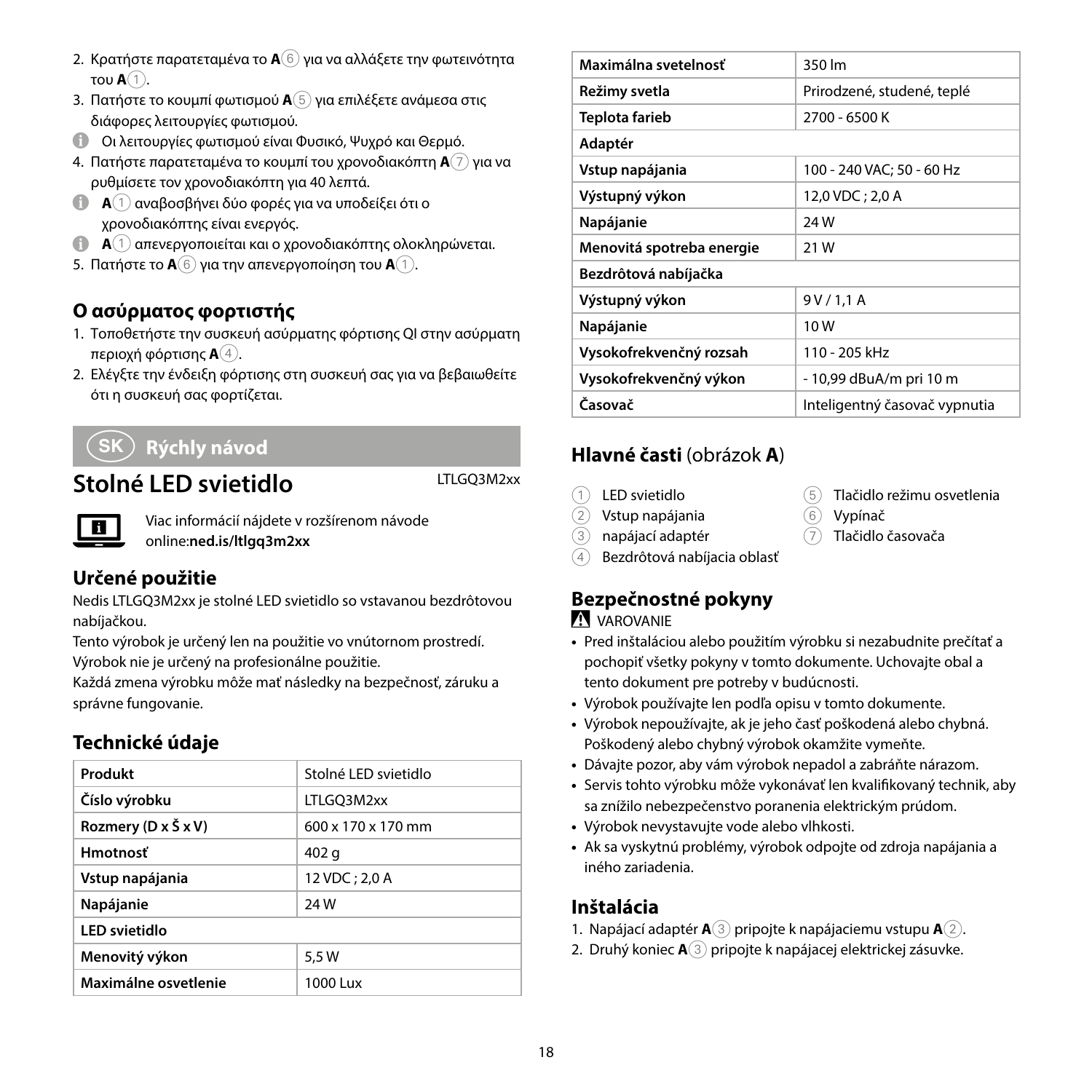- 2. Κρατήστε παρατεταμένα το **A**6 για να αλλάξετε την φωτεινότητα του **A**1.
- 3. Πατήστε το κουμπί φωτισμού **A**5 για επιλέξετε ανάμεσα στις διάφορες λειτουργίες φωτισμού.
- 4 Οι λειτουργίες φωτισμού είναι Φυσικό, Ψυχρό και Θερμό.
- 4. Πατήστε παρατεταμένα το κουμπί του χρονοδιακόπτη **A**7 για να ρυθμίσετε τον χρονοδιακόπτη για 40 λεπτά.
- **A** 1 αναβοσβήνει δύο φορές για να υποδείξει ότι ο χρονοδιακόπτης είναι ενεργός.
- 4 **<sup>A</sup>**1 απενεργοποιείται και ο χρονοδιακόπτης ολοκληρώνεται.
- 5. Πατήστε το **A**6 για την απενεργοποίηση του **A**1.

#### **Ο ασύρματος φορτιστής**

- 1. Τοποθετήστε την συσκευή ασύρματης φόρτισης QI στην ασύρματη περιοχή φόρτισης **A**4.
- 2. Ελέγξτε την ένδειξη φόρτισης στη συσκευή σας για να βεβαιωθείτε ότι η συσκευή σας φορτίζεται.

# 1 **Rýchly návod**

# **Stolné LED svietidlo** LTLGQ3M2xx

Viac informácií nájdete v rozšírenom návode online:**ned.is/ltlgq3m2xx**

#### **Určené použitie**

Nedis LTLGQ3M2xx je stolné LED svietidlo so vstavanou bezdrôtovou nabíjačkou.

Tento výrobok je určený len na použitie vo vnútornom prostredí. Výrobok nie je určený na profesionálne použitie.

Každá zmena výrobku môže mať následky na bezpečnosť, záruku a správne fungovanie.

#### **Technické údaje**

| Produkt              | Stolné LED svietidlo           |
|----------------------|--------------------------------|
| Číslo výrobku        | LTLGO3M2xx                     |
| Rozmery (D x Š x V)  | $600 \times 170 \times 170$ mm |
| <b>Hmotnosť</b>      | 402 g                          |
| Vstup napájania      | 12 VDC: 2.0 A                  |
| Napájanie            | 24W                            |
| <b>LED</b> svietidlo |                                |
| Menovitý výkon       | 5.5 W                          |
| Maximálne osvetlenie | 1000 Lux                       |

| Maximálna svetelnosť      | 350 lm                        |
|---------------------------|-------------------------------|
| Režimy svetla             | Prirodzené, studené, teplé    |
| Teplota farieb            | 2700 - 6500 K                 |
| Adaptér                   |                               |
| Vstup napájania           | 100 - 240 VAC: 50 - 60 Hz     |
| Výstupný výkon            | 12.0 VDC: 2.0 A               |
| Napájanie                 | 24W                           |
| Menovitá spotreba energie | 21 W                          |
| Bezdrôtová nabíjačka      |                               |
| Výstupný výkon            | 9V/1,1A                       |
| Napájanie                 | 10W                           |
| Vysokofrekvenčný rozsah   | 110 - 205 kHz                 |
| Vysokofrekvenčný výkon    | - 10,99 dBuA/m pri 10 m       |
| Časovač                   | Inteligentný časovač vypnutia |
|                           |                               |

# **Hlavné časti** (obrázok **A**)

- 1 LED svietidlo
- $(2)$  Vstup napájanja
- 3 napájací adaptér
- 4 Bezdrôtová nabíjacia oblasť

# **Bezpečnostné pokyny**

#### **VAROVANIE**

**•** Pred inštaláciou alebo použitím výrobku si nezabudnite prečítať a pochopiť všetky pokyny v tomto dokumente. Uchovajte obal a tento dokument pre potreby v budúcnosti.

5 Tlačidlo režimu osvetlenia

 $\widehat{6}$  Vynínač 7 Tlačidlo časovača

- **•** Výrobok používajte len podľa opisu v tomto dokumente.
- **•** Výrobok nepoužívajte, ak je jeho časť poškodená alebo chybná. Poškodený alebo chybný výrobok okamžite vymeňte.
- **•** Dávajte pozor, aby vám výrobok nepadol a zabráňte nárazom.
- **•** Servis tohto výrobku môže vykonávať len kvalifikovaný technik, aby sa znížilo nebezpečenstvo poranenia elektrickým prúdom.
- **•** Výrobok nevystavujte vode alebo vlhkosti.
- **•** Ak sa vyskytnú problémy, výrobok odpojte od zdroja napájania a iného zariadenia.

#### **Inštalácia**

- 1. Napájací adaptér **A**3 pripojte k napájaciemu vstupu **A**2.
- 2. Druhý koniec **A**3 pripojte k napájacej elektrickej zásuvke.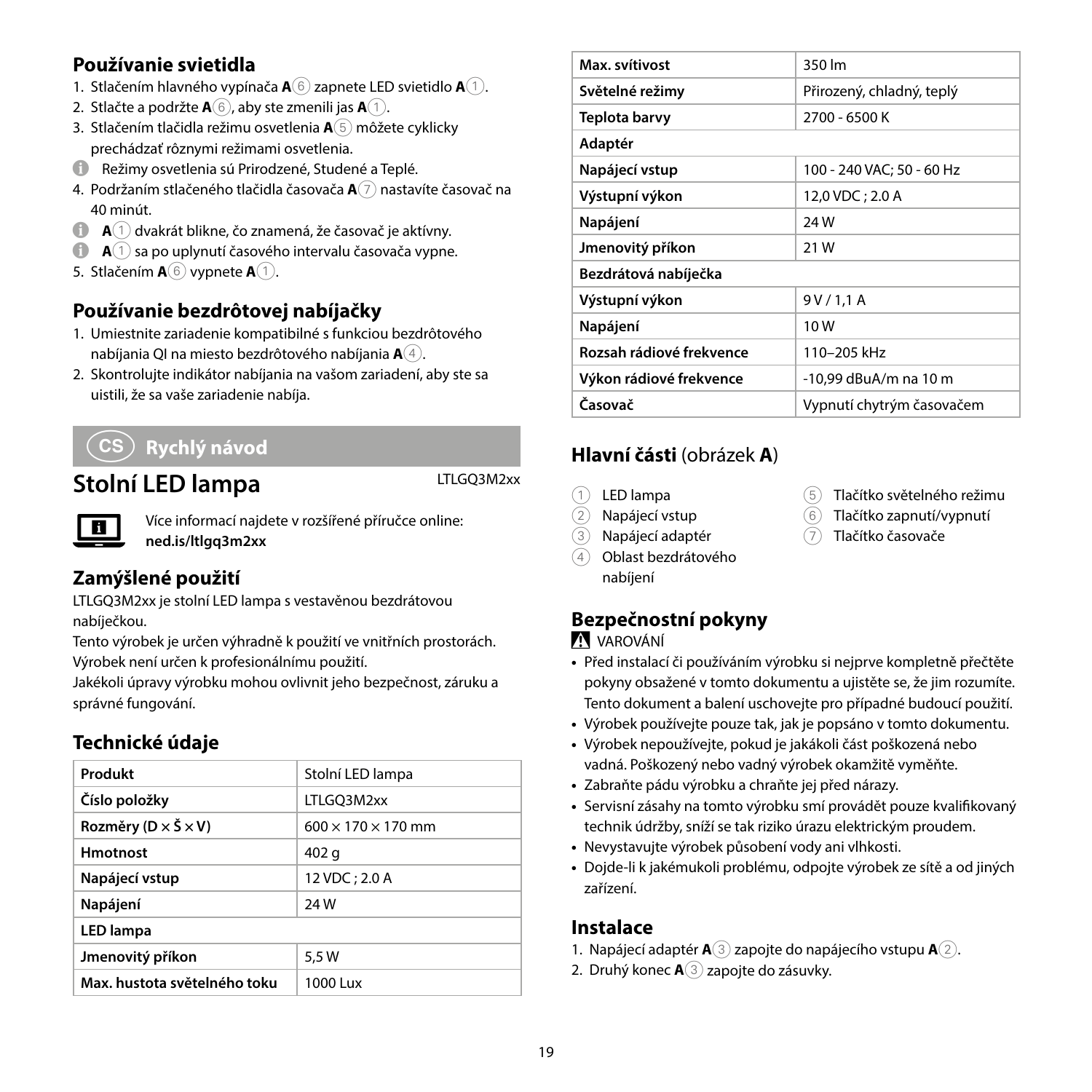#### **Používanie svietidla**

- 1. Stlačením hlavného vypínača **A**6 zapnete LED svietidlo **A**1.
- 2. Stlačte a podržte **A**6, aby ste zmenili jas **A**1.
- 3. Stlačením tlačidla režimu osvetlenia **A**5 môžete cyklicky prechádzať rôznymi režimami osvetlenia.
- 4 Režimy osvetlenia sú Prirodzené, Studené a Teplé.
- 4. Podržaním stlačeného tlačidla časovača **A**7 nastavíte časovač na 40 minút.
- 4 **<sup>A</sup>**1 dvakrát blikne, čo znamená, že časovač je aktívny.
- $\bigoplus$  **<b>A** $\cap$  sa po uplynutí časového intervalu časovača vypne.
- 5. Stlačením **A**6 vypnete **A**1.

#### **Používanie bezdrôtovej nabíjačky**

- 1. Umiestnite zariadenie kompatibilné s funkciou bezdrôtového nabíjania QI na miesto bezdrôtového nabíjania **A**4.
- 2. Skontrolujte indikátor nabíjania na vašom zariadení, aby ste sa uistili, že sa vaše zariadenie nabíja.

# l **Rychlý návod**

# **Stolní LED lampa** LTLGQ3M2xx

Více informací najdete v rozšířené příručce online: **ned.is/ltlgq3m2xx**

#### **Zamýšlené použití**

П

LTLGQ3M2xx je stolní LED lampa s vestavěnou bezdrátovou nabíječkou.

Tento výrobek je určen výhradně k použití ve vnitřních prostorách. Výrobek není určen k profesionálnímu použití.

Jakékoli úpravy výrobku mohou ovlivnit jeho bezpečnost, záruku a správné fungování.

#### **Technické údaje**

| Produkt                                   | Stolní LED lampa               |
|-------------------------------------------|--------------------------------|
| Číslo položky                             | LTLGQ3M2xx                     |
| Rozměry ( $D \times \check{S} \times V$ ) | $600 \times 170 \times 170$ mm |
| <b>Hmotnost</b>                           | 402 g                          |
| Napájecí vstup                            | 12 VDC; 2.0 A                  |
| Napájení                                  | <b>24W</b>                     |
| <b>LED lampa</b>                          |                                |
| Jmenovitý příkon                          | 5.5 W                          |
| Max, hustota světelného toku              | 1000 Lux                       |

| Max. svítivost           | 350 lm                    |
|--------------------------|---------------------------|
| Světelné režimy          | Přirozený, chladný, teplý |
| Teplota barvy            | 2700 - 6500 K             |
| Adaptér                  |                           |
| Napájecí vstup           | 100 - 240 VAC: 50 - 60 Hz |
| Výstupní výkon           | 12,0 VDC ; 2.0 A          |
| Napájení                 | 24 W                      |
| Jmenovitý příkon         | 21 W                      |
| Bezdrátová nabíječka     |                           |
| Výstupní výkon           | 9 V / 1,1 A               |
| Napájení                 | 10W                       |
| Rozsah rádiové frekvence | 110-205 kHz               |
| Výkon rádiové frekvence  | -10.99 dBuA/m na 10 m     |
| Časovač                  | Vypnutí chytrým časovačem |

#### **Hlavní části** (obrázek **A**)

- LED lampa
- 2 Napájecí vstup
- 3 Napájecí adaptér
- 4 Oblast bezdrátového nabíjení

#### 5 Tlačítko světelného režimu

- 6 Tlačítko zapnutí/vypnutí
- 7 Tlačítko časovače

# **Bezpečnostní pokyny**

#### -VAROVÁNÍ

- **•** Před instalací či používáním výrobku si nejprve kompletně přečtěte pokyny obsažené v tomto dokumentu a ujistěte se, že jim rozumíte. Tento dokument a balení uschovejte pro případné budoucí použití.
- **•** Výrobek používejte pouze tak, jak je popsáno v tomto dokumentu.
- **•** Výrobek nepoužívejte, pokud je jakákoli část poškozená nebo vadná. Poškozený nebo vadný výrobek okamžitě vyměňte.
- **•** Zabraňte pádu výrobku a chraňte jej před nárazy.
- **•** Servisní zásahy na tomto výrobku smí provádět pouze kvalifikovaný technik údržby, sníží se tak riziko úrazu elektrickým proudem.
- **•** Nevystavujte výrobek působení vody ani vlhkosti.
- **•** Dojde-li k jakémukoli problému, odpojte výrobek ze sítě a od jiných zařízení.

#### **Instalace**

- 1. Napájecí adaptér **A**3 zapojte do napájecího vstupu **A**2.
- 2. Druhý konec **A**3 zapojte do zásuvky.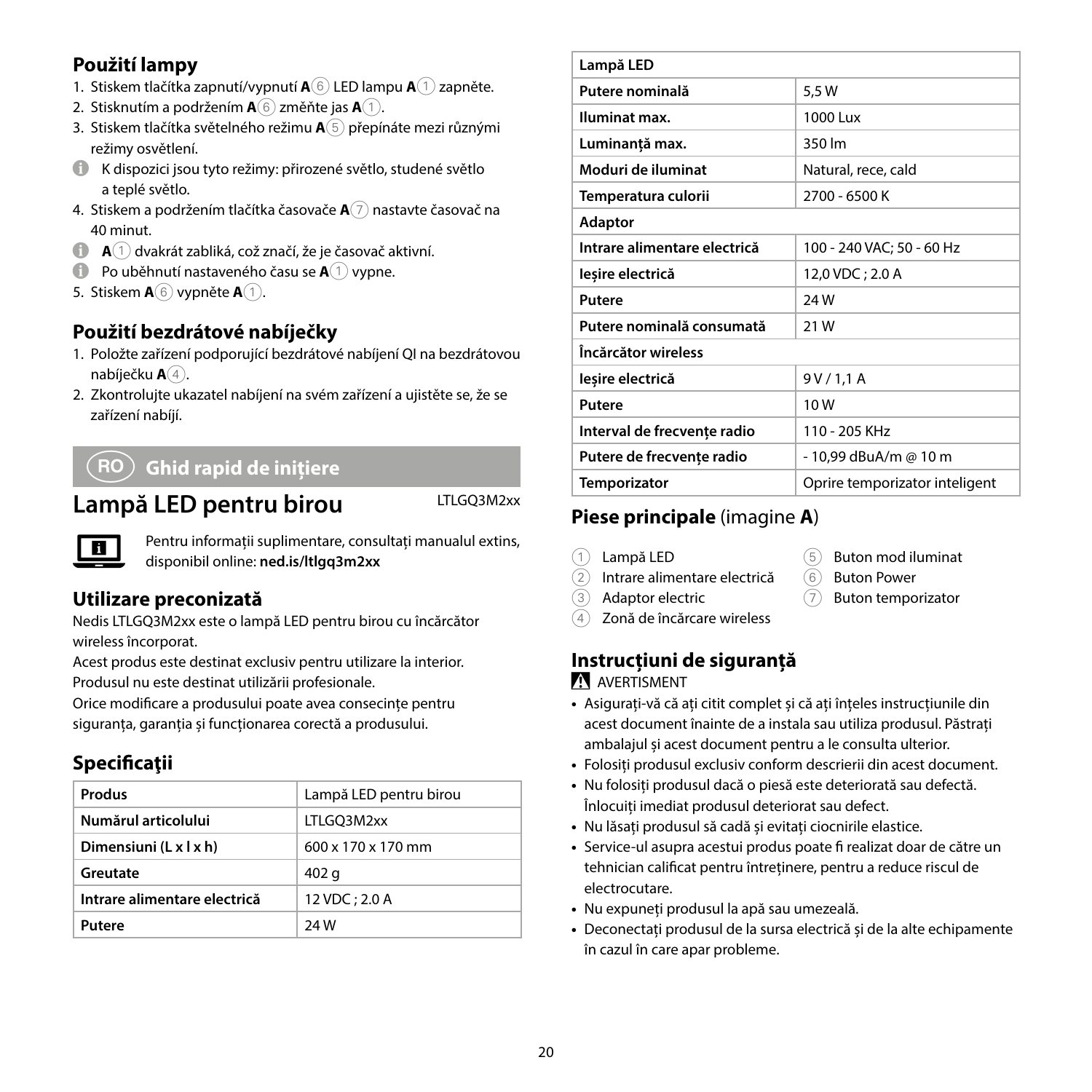#### **Použití lampy**

- 1. Stiskem tlačítka zapnutí/vypnutí **A**6 LED lampu **A**1 zapněte.
- 2. Stisknutím a podržením **A**6 změňte jas **A**1.
- 3. Stiskem tlačítka světelného režimu **A**5 přepínáte mezi různými režimy osvětlení.
- 4 K dispozici jsou tyto režimy: přirozené světlo, studené světlo a teplé světlo.
- 4. Stiskem a podržením tlačítka časovače **A**7 nastavte časovač na 40 minut.
- 4 **<sup>A</sup>**1 dvakrát zabliká, což značí, že je časovač aktivní.
- **1** Po uběhnutí nastaveného času se  $\mathbf{A}^{(1)}$  vypne.
- 5. Stiskem **A**6 vypněte **A**1.

#### **Použití bezdrátové nabíječky**

- 1. Položte zařízení podporující bezdrátové nabíjení QI na bezdrátovou nabíječku **A**4.
- 2. Zkontrolujte ukazatel nabíjení na svém zařízení a ujistěte se, že se zařízení nabíjí.

# y **Ghid rapid de inițiere**

# Lampă LED pentru birou LTLGQ3M2xx



Pentru informații suplimentare, consultați manualul extins, disponibil online: **ned.is/ltlgq3m2xx**

#### **Utilizare preconizată**

Nedis LTLGQ3M2xx este o lampă LED pentru birou cu încărcător wireless încorporat.

Acest produs este destinat exclusiv pentru utilizare la interior. Produsul nu este destinat utilizării profesionale.

Orice modificare a produsului poate avea consecințe pentru siguranța, garanția și funcționarea corectă a produsului.

# **Specificaţii**

| Produs                       | Lampă LED pentru birou         |
|------------------------------|--------------------------------|
| Numărul articolului          | LTLGO3M2xx                     |
| Dimensiuni (L x l x h)       | $600 \times 170 \times 170$ mm |
| Greutate                     | 402 a                          |
| Intrare alimentare electrică | 12 VDC: 2.0 A                  |
| Putere                       | <b>24W</b>                     |

| Lampă LED                    |                                |
|------------------------------|--------------------------------|
| Putere nominală              | 5,5W                           |
| Iluminat max.                | 1000 Lux                       |
| Luminantă max.               | 350 lm                         |
| Moduri de iluminat           | Natural, rece, cald            |
| Temperatura culorii          | 2700 - 6500 K                  |
| Adaptor                      |                                |
| Intrare alimentare electrică | 100 - 240 VAC; 50 - 60 Hz      |
| lesire electrică             | 12,0 VDC; 2.0 A                |
| Putere                       | <b>24W</b>                     |
| Putere nominală consumată    | 21 W                           |
| Încărcător wireless          |                                |
| lesire electrică             | 9V/1,1A                        |
| Putere                       | 10W                            |
| Interval de frecvențe radio  | 110 - 205 KHz                  |
| Putere de frecvente radio    | - 10,99 dBuA/m @ 10 m          |
| <b>Temporizator</b>          | Oprire temporizator inteligent |

# **Piese principale** (imagine **A**)

1 Lampă LED

- 5 Buton mod iluminat
- 2 Intrare alimentare electrică
- 6 Buton Power 7 Buton temporizator
- 3 Adaptor electric
- Zonă de încărcare wireless
- **Instrucțiuni de siguranță**

#### NAVERTISMENT

- **•** Asigurați-vă că ați citit complet și că ați înțeles instrucțiunile din acest document înainte de a instala sau utiliza produsul. Păstrați ambalajul și acest document pentru a le consulta ulterior.
- **•** Folosiți produsul exclusiv conform descrierii din acest document.
- **•** Nu folosiți produsul dacă o piesă este deteriorată sau defectă. Înlocuiți imediat produsul deteriorat sau defect.
- **•** Nu lăsați produsul să cadă și evitați ciocnirile elastice.
- **•** Service-ul asupra acestui produs poate fi realizat doar de către un tehnician calificat pentru întreținere, pentru a reduce riscul de electrocutare.
- **•** Nu expuneți produsul la apă sau umezeală.
- **•** Deconectați produsul de la sursa electrică și de la alte echipamente în cazul în care apar probleme.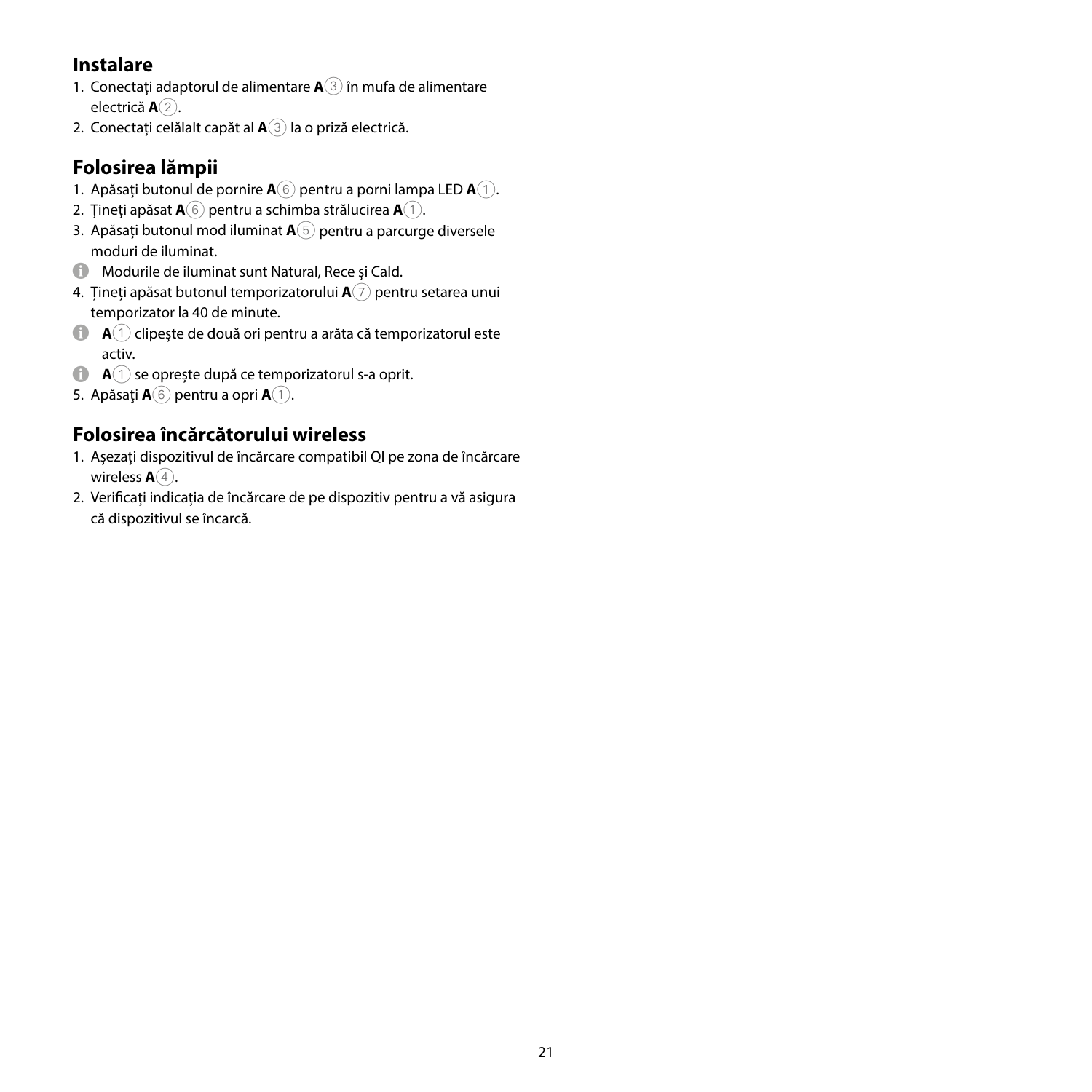#### **Instalare**

- 1. Conectați adaptorul de alimentare **A**3 în mufa de alimentare electrică **A**2.
- 2. Conectați celălalt capăt al **A**3 la o priză electrică.

# **Folosirea lămpii**

- 1. Apăsați butonul de pornire **A**6 pentru a porni lampa LED **A**1.
- 2. Țineți apăsat **A**6 pentru a schimba strălucirea **A**1.
- 3. Apăsați butonul mod iluminat **A**5 pentru a parcurge diversele moduri de iluminat.
- 4 Modurile de iluminat sunt Natural, Rece și Cald.
- 4. Țineți apăsat butonul temporizatorului **A**7 pentru setarea unui temporizator la 40 de minute.
- 4 **<sup>A</sup>**1 clipește de două ori pentru a arăta că temporizatorul este activ.
- **A** $(1)$  se oprește după ce temporizatorul s-a oprit.
- 5. Apăsaţi **A**6 pentru a opri **A**1.

# **Folosirea încărcătorului wireless**

- 1. Așezați dispozitivul de încărcare compatibil QI pe zona de încărcare wireless **A** $\widehat{4}$ .
- 2. Verificați indicația de încărcare de pe dispozitiv pentru a vă asigura că dispozitivul se încarcă.